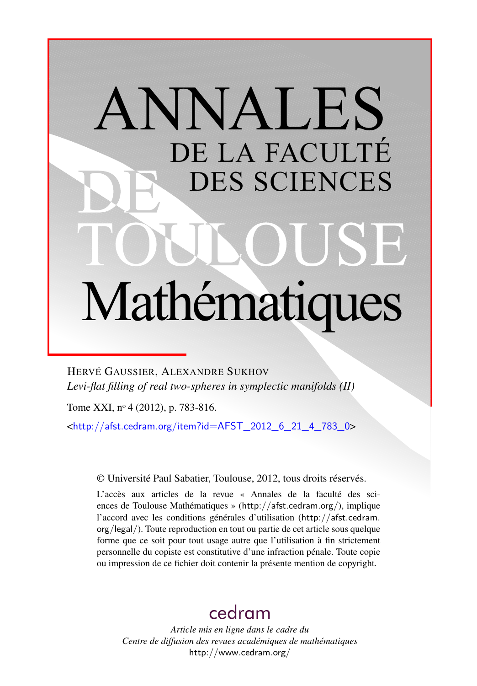# ANNALES DE LA FACULTÉ DES SCIENCES Mathématiques

HERVÉ GAUSSIER, ALEXANDRE SUKHOV *Levi-flat filling of real two-spheres in symplectic manifolds (II)*

Tome XXI, nº 4 (2012), p. 783-816.

 $\frac{\text{th}}{2}$  //afst.cedram.org/item?id=AFST\_2012\_6\_21\_4\_783\_0>

© Université Paul Sabatier, Toulouse, 2012, tous droits réservés.

L'accès aux articles de la revue « Annales de la faculté des sciences de Toulouse Mathématiques » (<http://afst.cedram.org/>), implique l'accord avec les conditions générales d'utilisation ([http://afst.cedram.](http://afst.cedram.org/legal/) [org/legal/](http://afst.cedram.org/legal/)). Toute reproduction en tout ou partie de cet article sous quelque forme que ce soit pour tout usage autre que l'utilisation à fin strictement personnelle du copiste est constitutive d'une infraction pénale. Toute copie ou impression de ce fichier doit contenir la présente mention de copyright.

# [cedram](http://www.cedram.org/)

*Article mis en ligne dans le cadre du Centre de diffusion des revues académiques de mathématiques* <http://www.cedram.org/>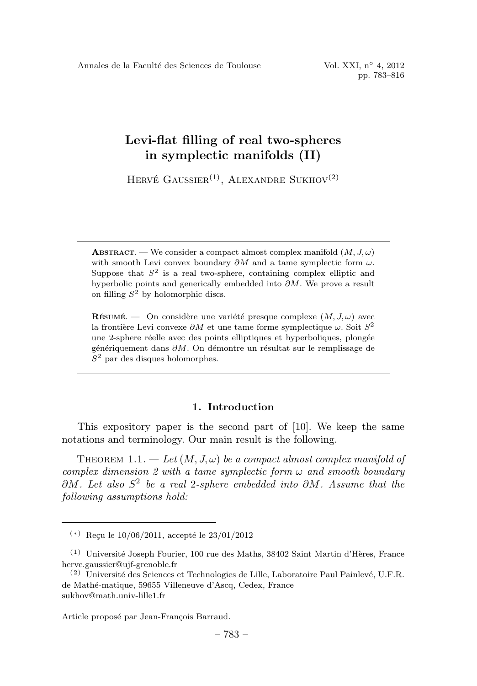HERVÉ GAUSSIER<sup>(1)</sup>, ALEXANDRE SUKHOV<sup>(2)</sup>

**RÉSUMÉ.** — On considère une variété presque complexe  $(M, J, \omega)$  avec la frontière Levi convexe ∂M et une tame forme symplectique  $\omega$ . Soit  $S^2$ une 2-sphere réelle avec des points elliptiques et hyperboliques, plongée génériquement dans ∂M. On démontre un résultat sur le remplissage de  $S<sup>2</sup>$  par des disques holomorphes.

# 1. Introduction

This expository paper is the second part of [10]. We keep the same notations and terminology. Our main result is the following.

THEOREM 1.1. — Let  $(M, J, \omega)$  be a compact almost complex manifold of complex dimension 2 with a tame symplectic form  $\omega$  and smooth boundary  $\partial M$ . Let also  $S^2$  be a real 2-sphere embedded into  $\partial M$ . Assume that the following assumptions hold:

**ABSTRACT.** — We consider a compact almost complex manifold  $(M, J, \omega)$ with smooth Levi convex boundary  $\partial M$  and a tame symplectic form  $\omega$ . Suppose that  $S^2$  is a real two-sphere, containing complex elliptic and hyperbolic points and generically embedded into  $\partial M$ . We prove a result on filling  $S^2$  by holomorphic discs.

 $(*)$  Reçu le 10/06/2011, accepté le 23/01/2012

 $(1)$  Université Joseph Fourier, 100 rue des Maths, 38402 Saint Martin d'Hères, France herve.gaussier@ujf-grenoble.fr

 $(2)$  Université des Sciences et Technologies de Lille, Laboratoire Paul Painlevé, U.F.R. de Mathé-matique, 59655 Villeneuve d'Ascq, Cedex, France sukhov@math.univ-lille1.fr

Article proposé par Jean-François Barraud.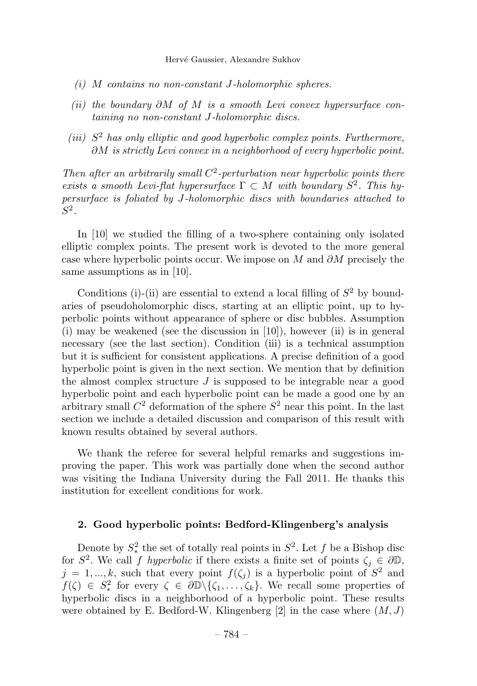- (i) M contains no non-constant J-holomorphic spheres.
- (ii) the boundary  $\partial M$  of M is a smooth Levi convex hypersurface containing no non-constant J-holomorphic discs.
- (iii)  $S<sup>2</sup>$  has only elliptic and good hyperbolic complex points. Furthermore, ∂M is strictly Levi convex in a neighborhood of every hyperbolic point.

Then after an arbitrarily small  $C^2$ -perturbation near hyperbolic points there exists a smooth Levi-flat hypersurface  $\Gamma \subset M$  with boundary  $S^2$ . This hypersurface is foliated by J-holomorphic discs with boundaries attached to  $S^2$ .

In [10] we studied the filling of a two-sphere containing only isolated elliptic complex points. The present work is devoted to the more general case where hyperbolic points occur. We impose on M and  $\partial M$  precisely the same assumptions as in [10].

Conditions (i)-(ii) are essential to extend a local filling of  $S<sup>2</sup>$  by boundaries of pseudoholomorphic discs, starting at an elliptic point, up to hyperbolic points without appearance of sphere or disc bubbles. Assumption (i) may be weakened (see the discussion in  $[10]$ ), however (ii) is in general necessary (see the last section). Condition (iii) is a technical assumption but it is sufficient for consistent applications. A precise definition of a good hyperbolic point is given in the next section. We mention that by definition the almost complex structure  $J$  is supposed to be integrable near a good hyperbolic point and each hyperbolic point can be made a good one by an arbitrary small  $C^2$  deformation of the sphere  $S^2$  near this point. In the last section we include a detailed discussion and comparison of this result with known results obtained by several authors.

We thank the referee for several helpful remarks and suggestions improving the paper. This work was partially done when the second author was visiting the Indiana University during the Fall 2011. He thanks this institution for excellent conditions for work.

# 2. Good hyperbolic points: Bedford-Klingenberg's analysis

Denote by  $S^2$  the set of totally real points in  $S^2$ . Let f be a Bishop disc for  $S^2$ . We call f hyperbolic if there exists a finite set of points  $\zeta_i \in \partial \mathbb{D}$ ,  $j = 1, ..., k$ , such that every point  $f(\zeta_j)$  is a hyperbolic point of  $S^2$  and  $f(\zeta) \in S^2_*$  for every  $\zeta \in \partial \mathbb{D} \setminus {\zeta_1, \ldots, \zeta_k}$ . We recall some properties of hyperbolic discs in a neighborhood of a hyperbolic point. These results were obtained by E. Bedford-W. Klingenberg  $[2]$  in the case where  $(M, J)$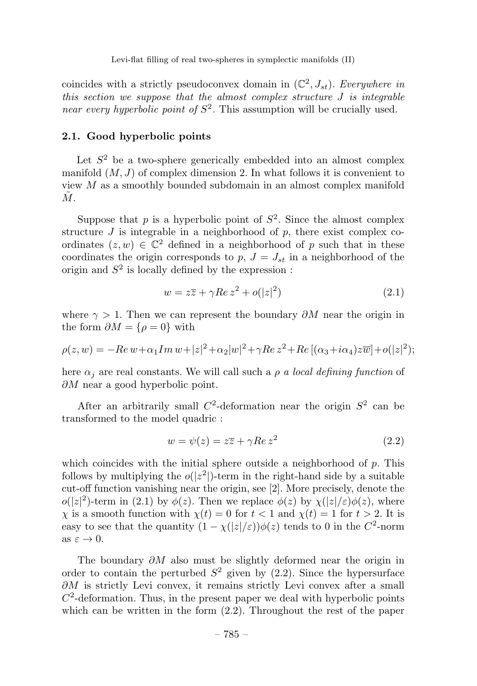coincides with a strictly pseudoconvex domain in  $(\mathbb{C}^2, J_{st})$ . Everywhere in this section we suppose that the almost complex structure  $J$  is integrable near every hyperbolic point of  $S^2$ . This assumption will be crucially used.

# 2.1. Good hyperbolic points

Let  $S<sup>2</sup>$  be a two-sphere generically embedded into an almost complex manifold  $(M, J)$  of complex dimension 2. In what follows it is convenient to view  $M$  as a smoothly bounded subdomain in an almost complex manifold  $\tilde{M}$  .

Suppose that p is a hyperbolic point of  $S^2$ . Since the almost complex structure  $J$  is integrable in a neighborhood of  $p$ , there exist complex coordinates  $(z, w) \in \mathbb{C}^2$  defined in a neighborhood of p such that in these coordinates the origin corresponds to  $p, J = J_{st}$  in a neighborhood of the origin and  $S^2$  is locally defined by the expression :

$$
w = z\overline{z} + \gamma Re z^2 + o(|z|^2)
$$
\n
$$
(2.1)
$$

where  $\gamma > 1$ . Then we can represent the boundary  $\partial M$  near the origin in the form  $\partial M = \{\rho = 0\}$  with

$$
\rho(z, w) = -Re w + \alpha_1 Im w + |z|^2 + \alpha_2 |w|^2 + \gamma Re z^2 + Re [(\alpha_3 + i\alpha_4)z\overline{w}] + o(|z|^2);
$$

here  $\alpha_j$  are real constants. We will call such a  $\rho$  a local defining function of  $\partial M$  near a good hyperbolic point.

After an arbitrarily small  $C^2$ -deformation near the origin  $S^2$  can be transformed to the model quadric :

$$
w = \psi(z) = z\overline{z} + \gamma Re z^2 \tag{2.2}
$$

which coincides with the initial sphere outside a neighborhood of  $p$ . This follows by multiplying the  $o(|z^2|)$ -term in the right-hand side by a suitable cut-off function vanishing near the origin, see [2]. More precisely, denote the  $o(|z|^2)$ -term in (2.1) by  $\phi(z)$ . Then we replace  $\phi(z)$  by  $\chi(|z|/\varepsilon)\phi(z)$ , where  $\chi$  is a smooth function with  $\chi(t) = 0$  for  $t < 1$  and  $\chi(t) = 1$  for  $t > 2$ . It is easy to see that the quantity  $(1 - \chi(|z|/\varepsilon))\phi(z)$  tends to 0 in the  $C^2$ -norm as  $\varepsilon \to 0$ .

The boundary  $\partial M$  also must be slightly deformed near the origin in order to contain the perturbed  $S^2$  given by (2.2). Since the hypersurface  $\partial M$  is strictly Levi convex, it remains strictly Levi convex after a small  $C<sup>2</sup>$ -deformation. Thus, in the present paper we deal with hyperbolic points which can be written in the form (2.2). Throughout the rest of the paper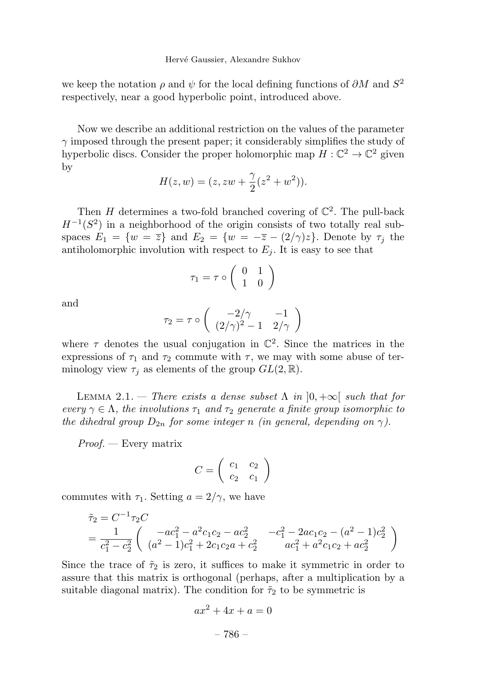we keep the notation  $\rho$  and  $\psi$  for the local defining functions of  $\partial M$  and  $S^2$ respectively, near a good hyperbolic point, introduced above.

Now we describe an additional restriction on the values of the parameter  $\gamma$  imposed through the present paper; it considerably simplifies the study of hyperbolic discs. Consider the proper holomorphic map  $H: \mathbb{C}^2 \to \mathbb{C}^2$  given by

$$
H(z, w) = (z, zw + \frac{\gamma}{2}(z^2 + w^2)).
$$

Then H determines a two-fold branched covering of  $\mathbb{C}^2$ . The pull-back  $H^{-1}(S^2)$  in a neighborhood of the origin consists of two totally real subspaces  $E_1 = \{w = \overline{z}\}\$ and  $E_2 = \{w = -\overline{z} - (2/\gamma)z\}$ . Denote by  $\tau_i$  the antiholomorphic involution with respect to  $E_i$ . It is easy to see that

$$
\tau_1 = \tau \circ \left( \begin{array}{cc} 0 & 1 \\ 1 & 0 \end{array} \right)
$$

and

$$
\tau_2 = \tau \circ \begin{pmatrix} -2/\gamma & -1 \\ (2/\gamma)^2 - 1 & 2/\gamma \end{pmatrix}
$$

where  $\tau$  denotes the usual conjugation in  $\mathbb{C}^2$ . Since the matrices in the expressions of  $\tau_1$  and  $\tau_2$  commute with  $\tau$ , we may with some abuse of terminology view  $\tau_i$  as elements of the group  $GL(2,\mathbb{R})$ .

LEMMA 2.1. — There exists a dense subset  $\Lambda$  in  $]0, +\infty[$  such that for every  $\gamma \in \Lambda$ , the involutions  $\tau_1$  and  $\tau_2$  generate a finite group isomorphic to the dihedral group  $D_{2n}$  for some integer n (in general, depending on  $\gamma$ ).

Proof. — Every matrix

$$
C = \left(\begin{array}{cc} c_1 & c_2 \\ c_2 & c_1 \end{array}\right)
$$

commutes with  $\tau_1$ . Setting  $a = 2/\gamma$ , we have

$$
\begin{aligned}\n\tilde{\tau}_2 &= C^{-1} \tau_2 C \\
&= \frac{1}{c_1^2 - c_2^2} \left( \begin{array}{cc} -ac_1^2 - a^2 c_1 c_2 - ac_2^2 & -c_1^2 - 2ac_1 c_2 - (a^2 - 1)c_2^2 \\
(a^2 - 1)c_1^2 + 2c_1 c_2 a + c_2^2 & ac_1^2 + a^2 c_1 c_2 + ac_2^2 \end{array} \right)\n\end{aligned}
$$

Since the trace of  $\tilde{\tau}_2$  is zero, it suffices to make it symmetric in order to assure that this matrix is orthogonal (perhaps, after a multiplication by a suitable diagonal matrix). The condition for  $\tilde{\tau}_2$  to be symmetric is

$$
ax^2 + 4x + a = 0
$$

– 786 –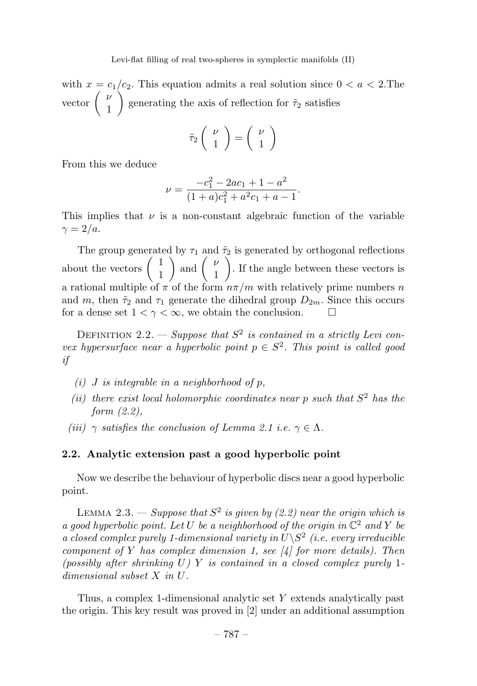with  $x = c_1/c_2$ . This equation admits a real solution since  $0 < a < 2$ . The vector  $\begin{pmatrix} \nu \\ 1 \end{pmatrix}$ 1 Í. generating the axis of reflection for  $\tilde{\tau}_2$  satisfies

$$
\tilde{\tau}_2 \left( \begin{array}{c} \nu \\ 1 \end{array} \right) = \left( \begin{array}{c} \nu \\ 1 \end{array} \right)
$$

From this we deduce

$$
\nu = \frac{-c_1^2 - 2ac_1 + 1 - a^2}{(1+a)c_1^2 + a^2c_1 + a - 1}.
$$

This implies that  $\nu$  is a non-constant algebraic function of the variable  $\gamma = 2/a$ .

The group generated by  $\tau_1$  and  $\tilde{\tau}_2$  is generated by orthogonal reflections about the vectors  $\begin{pmatrix} 1 \\ 1 \end{pmatrix}$ 1 ) and  $\begin{pmatrix} \nu \\ 1 \end{pmatrix}$ 1  $\sqrt{ }$ . If the angle between these vectors is a rational multiple of  $\pi$  of the form  $n\pi/m$  with relatively prime numbers n and m, then  $\tilde{\tau}_2$  and  $\tau_1$  generate the dihedral group  $D_{2m}$ . Since this occurs for a dense set  $1 < \gamma < \infty$ , we obtain the conclusion.  $\Box$ 

DEFINITION 2.2. — Suppose that  $S^2$  is contained in a strictly Levi convex hypersurface near a hyperbolic point  $p \in S^2$ . This point is called good if

- (i) J is integrable in a neighborhood of  $p$ ,
- (ii) there exist local holomorphic coordinates near p such that  $S<sup>2</sup>$  has the form (2.2),
- (iii)  $\gamma$  satisfies the conclusion of Lemma 2.1 i.e.  $\gamma \in \Lambda$ .

# 2.2. Analytic extension past a good hyperbolic point

Now we describe the behaviour of hyperbolic discs near a good hyperbolic point.

LEMMA 2.3. — Suppose that  $S^2$  is given by (2.2) near the origin which is a good hyperbolic point. Let U be a neighborhood of the origin in  $\mathbb{C}^2$  and Y be a closed complex purely 1-dimensional variety in  $U\backslash S^2$  (i.e. every irreducible component of Y has complex dimension 1, see  $\vert 4 \vert$  for more details). Then (possibly after shrinking  $U$ ) Y is contained in a closed complex purely 1dimensional subset X in U.

Thus, a complex 1-dimensional analytic set Y extends analytically past the origin. This key result was proved in [2] under an additional assumption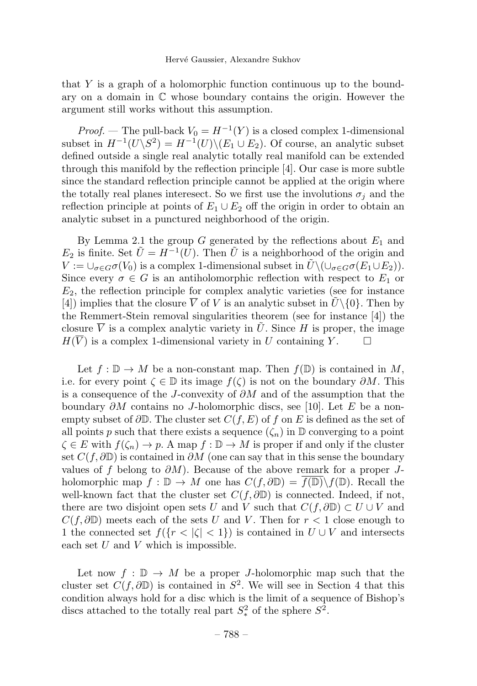that Y is a graph of a holomorphic function continuous up to the boundary on a domain in  $\mathbb C$  whose boundary contains the origin. However the argument still works without this assumption.

*Proof.* — The pull-back  $V_0 = H^{-1}(Y)$  is a closed complex 1-dimensional subset in  $H^{-1}(U\backslash S^2) = H^{-1}(U)\backslash (E_1 \cup E_2)$ . Of course, an analytic subset defined outside a single real analytic totally real manifold can be extended through this manifold by the reflection principle [4]. Our case is more subtle since the standard reflection principle cannot be applied at the origin where the totally real planes interesect. So we first use the involutions  $\sigma_i$  and the reflection principle at points of  $E_1 \cup E_2$  off the origin in order to obtain an analytic subset in a punctured neighborhood of the origin.

By Lemma 2.1 the group G generated by the reflections about  $E_1$  and  $E_2$  is finite. Set  $\tilde{U} = H^{-1}(U)$ . Then  $\tilde{U}$  is a neighborhood of the origin and  $V := \bigcup_{\sigma \in G} \sigma(V_0)$  is a complex 1-dimensional subset in  $\tilde{U} \setminus (\bigcup_{\sigma \in G} \sigma(E_1 \cup E_2)).$ Since every  $\sigma \in G$  is an antiholomorphic reflection with respect to  $E_1$  or  $E<sub>2</sub>$ , the reflection principle for complex analytic varieties (see for instance [4]) implies that the closure  $\overline{V}$  of V is an analytic subset in  $\overline{U}\setminus\{0\}$ . Then by the Remmert-Stein removal singularities theorem (see for instance  $[4]$ ) the closure  $\overline{V}$  is a complex analytic variety in  $\overline{U}$ . Since H is proper, the image  $H(\overline{V})$  is a complex 1-dimensional variety in U containing Y.  $\Box$ 

Let  $f : \mathbb{D} \to M$  be a non-constant map. Then  $f(\mathbb{D})$  is contained in M, i.e. for every point  $\zeta \in \mathbb{D}$  its image  $f(\zeta)$  is not on the boundary  $\partial M$ . This is a consequence of the J-convexity of  $\partial M$  and of the assumption that the boundary  $\partial M$  contains no J-holomorphic discs, see [10]. Let E be a nonempty subset of  $\partial\mathbb{D}$ . The cluster set  $C(f, E)$  of f on E is defined as the set of all points p such that there exists a sequence  $(\zeta_n)$  in  $\mathbb D$  converging to a point  $\zeta \in E$  with  $f(\zeta_n) \to p$ . A map  $f : \mathbb{D} \to M$  is proper if and only if the cluster set  $C(f, \partial \mathbb{D})$  is contained in  $\partial M$  (one can say that in this sense the boundary values of f belong to  $\partial M$ ). Because of the above remark for a proper Jholomorphic map  $f : \mathbb{D} \to M$  one has  $C(f, \partial \mathbb{D}) = f(\mathbb{D}) \setminus f(\mathbb{D})$ . Recall the well-known fact that the cluster set  $C(f, \partial \mathbb{D})$  is connected. Indeed, if not, there are two disjoint open sets U and V such that  $C(f, \partial \mathbb{D}) \subset U \cup V$  and  $C(f,\partial\mathbb{D})$  meets each of the sets U and V. Then for  $r < 1$  close enough to 1 the connected set  $f({r < |\zeta| < 1})$  is contained in  $U \cup V$  and intersects each set  $U$  and  $V$  which is impossible.

Let now  $f : \mathbb{D} \to M$  be a proper *J*-holomorphic map such that the cluster set  $C(f, \partial \mathbb{D})$  is contained in  $S^2$ . We will see in Section 4 that this condition always hold for a disc which is the limit of a sequence of Bishop's discs attached to the totally real part  $S^2_*$  of the sphere  $S^2$ .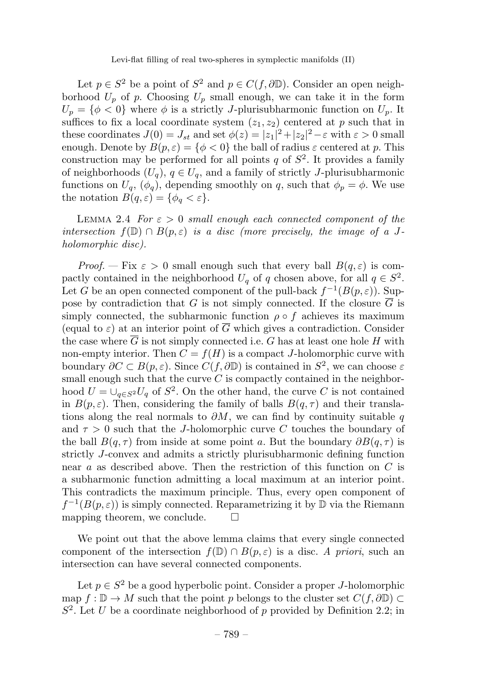Let  $p \in S^2$  be a point of  $S^2$  and  $p \in C(f, \partial \mathbb{D})$ . Consider an open neighborhood  $U_p$  of p. Choosing  $U_p$  small enough, we can take it in the form  $U_p = \{\phi < 0\}$  where  $\phi$  is a strictly J-plurisubharmonic function on  $U_p$ . It suffices to fix a local coordinate system  $(z_1, z_2)$  centered at p such that in these coordinates  $J(0) = J_{st}$  and set  $\phi(z) = |z_1|^2 + |z_2|^2 - \varepsilon$  with  $\varepsilon > 0$  small enough. Denote by  $B(p, \varepsilon) = \{\phi < 0\}$  the ball of radius  $\varepsilon$  centered at p. This construction may be performed for all points q of  $S^2$ . It provides a family of neighborhoods  $(U_q)$ ,  $q \in U_q$ , and a family of strictly J-plurisubharmonic functions on  $U_q$ ,  $(\phi_q)$ , depending smoothly on q, such that  $\phi_p = \phi$ . We use the notation  $B(q, \varepsilon) = \{\phi_q < \varepsilon\}.$ 

LEMMA 2.4 For  $\varepsilon > 0$  small enough each connected component of the intersection  $f(\mathbb{D}) \cap B(p,\varepsilon)$  is a disc (more precisely, the image of a Jholomorphic disc).

Proof. – Fix  $\varepsilon > 0$  small enough such that every ball  $B(q,\varepsilon)$  is compactly contained in the neighborhood  $U_q$  of q chosen above, for all  $q \in S^2$ . Let G be an open connected component of the pull-back  $f^{-1}(B(p,\varepsilon))$ . Suppose by contradiction that G is not simply connected. If the closure  $\overline{G}$  is simply connected, the subharmonic function  $\rho \circ f$  achieves its maximum (equal to  $\varepsilon$ ) at an interior point of  $\overline{G}$  which gives a contradiction. Consider the case where  $\overline{G}$  is not simply connected i.e. G has at least one hole H with non-empty interior. Then  $C = f(H)$  is a compact J-holomorphic curve with boundary  $\partial C \subset B(p, \varepsilon)$ . Since  $C(f, \partial \mathbb{D})$  is contained in  $S^2$ , we can choose  $\varepsilon$ small enough such that the curve  $C$  is compactly contained in the neighborhood  $U = \bigcup_{q \in S^2} U_q$  of  $S^2$ . On the other hand, the curve C is not contained in  $B(p, \varepsilon)$ . Then, considering the family of balls  $B(q, \tau)$  and their translations along the real normals to  $\partial M$ , we can find by continuity suitable q and  $\tau > 0$  such that the *J*-holomorphic curve C touches the boundary of the ball  $B(q, \tau)$  from inside at some point a. But the boundary  $\partial B(q, \tau)$  is strictly J-convex and admits a strictly plurisubharmonic defining function near a as described above. Then the restriction of this function on  $C$  is a subharmonic function admitting a local maximum at an interior point. This contradicts the maximum principle. Thus, every open component of  $f^{-1}(B(p,\varepsilon))$  is simply connected. Reparametrizing it by D via the Riemann mapping theorem, we conclude.  $\square$ 

We point out that the above lemma claims that every single connected component of the intersection  $f(\mathbb{D}) \cap B(p,\varepsilon)$  is a disc. A priori, such an intersection can have several connected components.

Let  $p \in S^2$  be a good hyperbolic point. Consider a proper J-holomorphic map  $f : \mathbb{D} \to M$  such that the point p belongs to the cluster set  $C(f, \partial \mathbb{D}) \subset$  $S^2$ . Let U be a coordinate neighborhood of p provided by Definition 2.2; in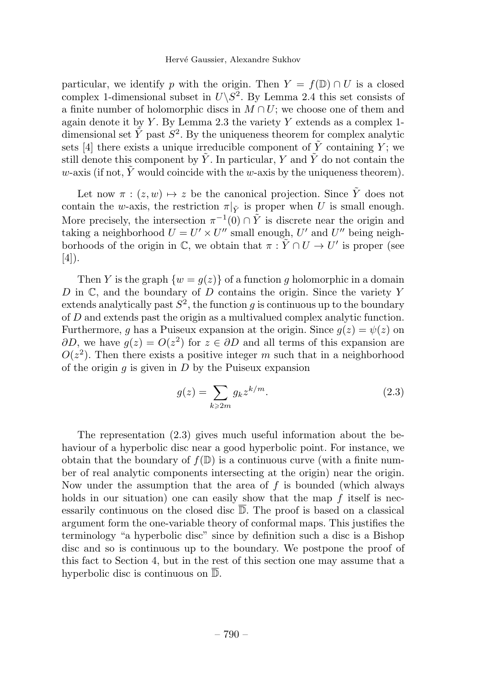particular, we identify p with the origin. Then  $Y = f(\mathbb{D}) \cap U$  is a closed complex 1-dimensional subset in  $U\backslash S^2$ . By Lemma 2.4 this set consists of a finite number of holomorphic discs in  $M \cap U$ ; we choose one of them and again denote it by Y. By Lemma 2.3 the variety Y extends as a complex 1dimensional set  $\tilde{Y}$  past  $S^2$ . By the uniqueness theorem for complex analytic sets [4] there exists a unique irreducible component of  $\tilde{Y}$  containing Y; we still denote this component by  $\tilde{Y}$ . In particular, Y and  $\tilde{Y}$  do not contain the w-axis (if not, Y would coincide with the w-axis by the uniqueness theorem).

Let now  $\pi : (z, w) \mapsto z$  be the canonical projection. Since  $\tilde{Y}$  does not contain the w-axis, the restriction  $\pi|_{\tilde{Y}}$  is proper when U is small enough. More precisely, the intersection  $\pi^{-1}(0) \cap \tilde{Y}$  is discrete near the origin and taking a neighborhood  $U = U' \times U''$  small enough, U' and U'' being neighborhoods of the origin in C, we obtain that  $\pi : \tilde{Y} \cap U \to U'$  is proper (see [4]).

Then Y is the graph  $\{w = g(z)\}\$  of a function g holomorphic in a domain  $D$  in  $\mathbb{C}$ , and the boundary of  $D$  contains the origin. Since the variety  $Y$ extends analytically past  $S^2$ , the function q is continuous up to the boundary of D and extends past the origin as a multivalued complex analytic function. Furthermore, q has a Puiseux expansion at the origin. Since  $q(z) = \psi(z)$  on  $\partial D$ , we have  $q(z) = O(z^2)$  for  $z \in \partial D$  and all terms of this expansion are  $O(z^2)$ . Then there exists a positive integer m such that in a neighborhood of the origin  $q$  is given in  $D$  by the Puiseux expansion

$$
g(z) = \sum_{k \ge 2m} g_k z^{k/m}.
$$
 (2.3)

The representation  $(2.3)$  gives much useful information about the behaviour of a hyperbolic disc near a good hyperbolic point. For instance, we obtain that the boundary of  $f(\mathbb{D})$  is a continuous curve (with a finite number of real analytic components intersecting at the origin) near the origin. Now under the assumption that the area of  $f$  is bounded (which always holds in our situation) one can easily show that the map  $f$  itself is necessarily continuous on the closed disc  $\overline{D}$ . The proof is based on a classical argument form the one-variable theory of conformal maps. This justifies the terminology "a hyperbolic disc" since by definition such a disc is a Bishop disc and so is continuous up to the boundary. We postpone the proof of this fact to Section 4, but in the rest of this section one may assume that a hyperbolic disc is continuous on D.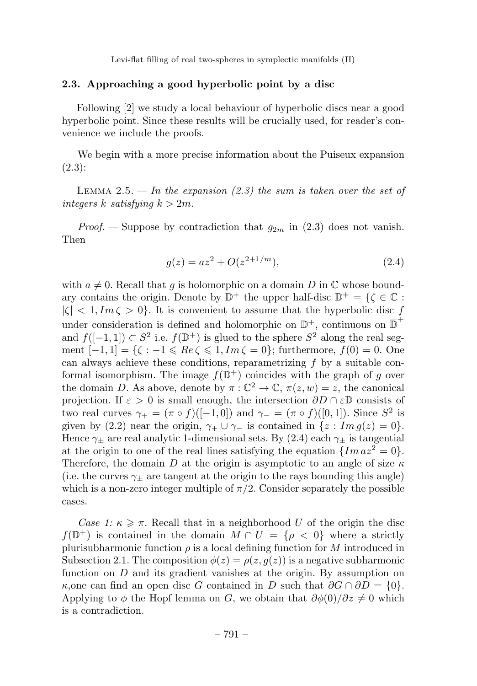## 2.3. Approaching a good hyperbolic point by a disc

Following [2] we study a local behaviour of hyperbolic discs near a good hyperbolic point. Since these results will be crucially used, for reader's convenience we include the proofs.

We begin with a more precise information about the Puiseux expansion (2.3):

LEMMA 2.5. — In the expansion (2.3) the sum is taken over the set of integers k satisfying  $k > 2m$ .

*Proof.* — Suppose by contradiction that  $g_{2m}$  in (2.3) does not vanish. Then

$$
g(z) = az^2 + O(z^{2+1/m}),
$$
\n(2.4)

with  $a \neq 0$ . Recall that q is holomorphic on a domain D in  $\mathbb C$  whose boundary contains the origin. Denote by  $\mathbb{D}^+$  the upper half-disc  $\mathbb{D}^+ = \{ \zeta \in \mathbb{C} :$  $|\zeta| < 1, Im \zeta > 0$ . It is convenient to assume that the hyperbolic disc f under consideration is defined and holomorphic on  $\mathbb{D}^+$ , continuous on  $\overline{\mathbb{D}}^+$ and  $f([-1, 1]) \subset S^2$  i.e.  $f(\mathbb{D}^+)$  is glued to the sphere  $S^2$  along the real segment  $[-1, 1] = \{\zeta : -1 \leqslant Re \zeta \leqslant 1, Im \zeta = 0\}$ ; furthermore,  $f(0) = 0$ . One can always achieve these conditions, reparametrizing  $f$  by a suitable conformal isomorphism. The image  $f(\mathbb{D}^+)$  coincides with the graph of g over the domain D. As above, denote by  $\pi : \mathbb{C}^2 \to \mathbb{C}, \pi(z, w) = z$ , the canonical projection. If  $\varepsilon > 0$  is small enough, the intersection  $\partial D \cap \varepsilon \mathbb{D}$  consists of two real curves  $\gamma_+ = (\pi \circ f)([-1,0])$  and  $\gamma_- = (\pi \circ f)([0,1])$ . Since  $S^2$  is given by (2.2) near the origin,  $\gamma_+ \cup \gamma_-$  is contained in  $\{z : Im\, g(z)=0\}.$ Hence  $\gamma_{\pm}$  are real analytic 1-dimensional sets. By (2.4) each  $\gamma_{\pm}$  is tangential at the origin to one of the real lines satisfying the equation  $\{Im az^2 = 0\}$ . Therefore, the domain D at the origin is asymptotic to an angle of size  $\kappa$ (i.e. the curves  $\gamma_{\pm}$  are tangent at the origin to the rays bounding this angle) which is a non-zero integer multiple of  $\pi/2$ . Consider separately the possible cases.

Case 1:  $\kappa \geq \pi$ . Recall that in a neighborhood U of the origin the disc  $f(\mathbb{D}^+)$  is contained in the domain  $M \cap U = \{\rho < 0\}$  where a strictly plurisubharmonic function  $\rho$  is a local defining function for M introduced in Subsection 2.1. The composition  $\phi(z) = \rho(z, g(z))$  is a negative subharmonic function on  $D$  and its gradient vanishes at the origin. By assumption on  $\kappa$ ,one can find an open disc G contained in D such that  $\partial G \cap \partial D = \{0\}.$ Applying to  $\phi$  the Hopf lemma on G, we obtain that  $\partial \phi(0)/\partial z \neq 0$  which is a contradiction.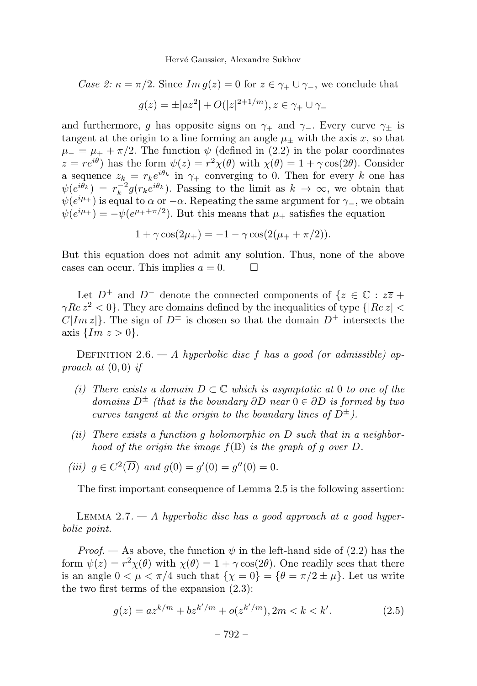Case 2:  $\kappa = \pi/2$ . Since  $Im g(z) = 0$  for  $z \in \gamma_+ \cup \gamma_-,$  we conclude that

$$
g(z) = \pm |az^2| + O(|z|^{2+1/m}), z \in \gamma_+ \cup \gamma_-
$$

and furthermore, q has opposite signs on  $\gamma_+$  and  $\gamma_-$ . Every curve  $\gamma_+$  is tangent at the origin to a line forming an angle  $\mu_{+}$  with the axis x, so that  $\mu = \mu_{+} + \pi/2$ . The function  $\psi$  (defined in (2.2) in the polar coordinates  $z = re^{i\theta}$  has the form  $\psi(z) = r^2 \chi(\theta)$  with  $\chi(\theta) = 1 + \gamma \cos(2\theta)$ . Consider a sequence  $z_k = r_k e^{i\theta_k}$  in  $\gamma_+$  converging to 0. Then for every k one has  $\psi(e^{i\theta_k}) = r_k^{-2} g(r_k e^{i\theta_k})$ . Passing to the limit as  $k \to \infty$ , we obtain that  $\psi(e^{i\mu_+})$  is equal to  $\alpha$  or  $-\alpha$ . Repeating the same argument for  $\gamma_-,$  we obtain  $\psi(e^{i\mu_+}) = -\psi(e^{\mu_+ + \pi/2})$ . But this means that  $\mu_+$  satisfies the equation

$$
1 + \gamma \cos(2\mu_{+}) = -1 - \gamma \cos(2(\mu_{+} + \pi/2)).
$$

But this equation does not admit any solution. Thus, none of the above cases can occur. This implies  $a = 0$ .

Let  $D^+$  and  $D^-$  denote the connected components of  $\{z \in \mathbb{C} : z\overline{z} + z\overline{z}\}$  $\gamma Re z^2 < 0$ . They are domains defined by the inequalities of type  $\{|Re z| <$  $C|Im z|$ . The sign of  $D^{\pm}$  is chosen so that the domain  $D^{+}$  intersects the axis  $\{Im\ z > 0\}.$ 

DEFINITION 2.6. — A hyperbolic disc f has a good (or admissible) approach at  $(0,0)$  if

- (i) There exists a domain  $D \subset \mathbb{C}$  which is asymptotic at 0 to one of the domains  $D^{\pm}$  (that is the boundary  $\partial D$  near  $0 \in \partial D$  is formed by two curves tangent at the origin to the boundary lines of  $D^{\pm}$ ).
- (ii) There exists a function q holomorphic on  $D$  such that in a neighborhood of the origin the image  $f(\mathbb{D})$  is the graph of g over D.
- (iii)  $g \in C^2(\overline{D})$  and  $g(0) = g'(0) = g''(0) = 0$ .

The first important consequence of Lemma 2.5 is the following assertion:

LEMMA 2.7.  $- A$  hyperbolic disc has a good approach at a good hyperbolic point.

*Proof.* — As above, the function  $\psi$  in the left-hand side of (2.2) has the form  $\psi(z) = r^2 \chi(\theta)$  with  $\chi(\theta) = 1 + \gamma \cos(2\theta)$ . One readily sees that there is an angle  $0 < \mu < \pi/4$  such that  $\{\chi = 0\} = \{\theta = \pi/2 \pm \mu\}$ . Let us write the two first terms of the expansion (2.3):

$$
g(z) = az^{k/m} + bz^{k'/m} + o(z^{k'/m}), 2m < k < k'.\tag{2.5}
$$

$$
-792-
$$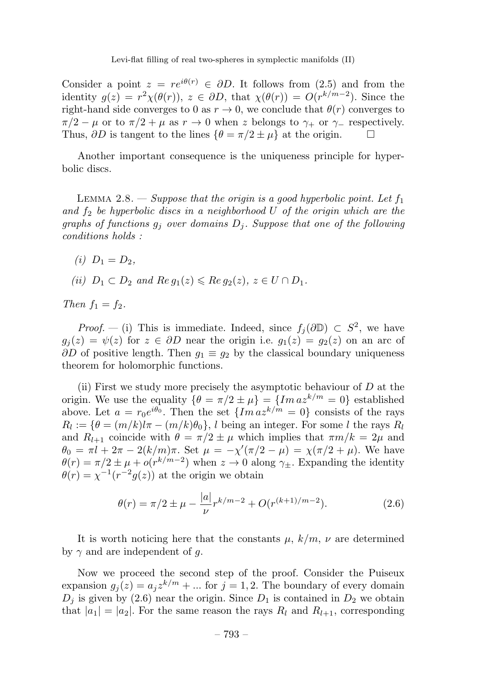Consider a point  $z = re^{i\theta(r)} \in \partial D$ . It follows from (2.5) and from the identity  $g(z) = r^2 \chi(\theta(r))$ ,  $z \in \partial D$ , that  $\chi(\theta(r)) = O(r^{k/m-2})$ . Since the right-hand side converges to 0 as  $r \to 0$ , we conclude that  $\theta(r)$  converges to  $\pi/2 - \mu$  or to  $\pi/2 + \mu$  as  $r \to 0$  when z belongs to  $\gamma_+$  or  $\gamma_-$  respectively. Thus,  $\partial D$  is tangent to the lines  $\{\theta = \pi/2 \pm \mu\}$  at the origin.

Another important consequence is the uniqueness principle for hyperbolic discs.

LEMMA 2.8. — Suppose that the origin is a good hyperbolic point. Let  $f_1$ and  $f_2$  be hyperbolic discs in a neighborhood U of the origin which are the graphs of functions  $g_i$  over domains  $D_i$ . Suppose that one of the following conditions holds :

- (i)  $D_1 = D_2$ .
- (ii)  $D_1 \subset D_2$  and  $Re\,g_1(z) \leqslant Re\,g_2(z),\,z \in U \cap D_1.$

Then  $f_1 = f_2$ .

*Proof.* — (i) This is immediate. Indeed, since  $f_i(\partial \mathbb{D}) \subset S^2$ , we have  $g_i(z) = \psi(z)$  for  $z \in \partial D$  near the origin i.e.  $g_1(z) = g_2(z)$  on an arc of  $\partial D$  of positive length. Then  $g_1 \equiv g_2$  by the classical boundary uniqueness theorem for holomorphic functions.

(ii) First we study more precisely the asymptotic behaviour of  $D$  at the origin. We use the equality  $\{\theta = \pi/2 \pm \mu\} = \{Im\ a z^{k/m} = 0\}$  established above. Let  $a = r_0e^{i\theta_0}$ . Then the set  $\{Im\ a z^{k/m} = 0\}$  consists of the rays  $R_l := {\theta = (m/k)l\pi - (m/k)\theta_0}, l$  being an integer. For some l the rays  $R_l$ and  $R_{l+1}$  coincide with  $\theta = \pi/2 \pm \mu$  which implies that  $\pi m/k = 2\mu$  and  $\theta_0 = \pi l + 2\pi - 2(k/m)\pi$ . Set  $\mu = -\chi'(\pi/2 - \mu) = \chi(\pi/2 + \mu)$ . We have  $\theta(r) = \pi/2 \pm \mu + o(r^{k/m-2})$  when  $z \to 0$  along  $\gamma_{\pm}$ . Expanding the identity  $\theta(r) = \chi^{-1}(r^{-2}g(z))$  at the origin we obtain

$$
\theta(r) = \pi/2 \pm \mu - \frac{|a|}{\nu} r^{k/m - 2} + O(r^{(k+1)/m - 2}).
$$
\n(2.6)

It is worth noticing here that the constants  $\mu$ ,  $k/m$ ,  $\nu$  are determined by  $\gamma$  and are independent of g.

Now we proceed the second step of the proof. Consider the Puiseux expansion  $g_i(z) = a_i z^{k/m} + ...$  for  $j = 1, 2$ . The boundary of every domain  $D_j$  is given by (2.6) near the origin. Since  $D_1$  is contained in  $D_2$  we obtain that  $|a_1| = |a_2|$ . For the same reason the rays  $R_l$  and  $R_{l+1}$ , corresponding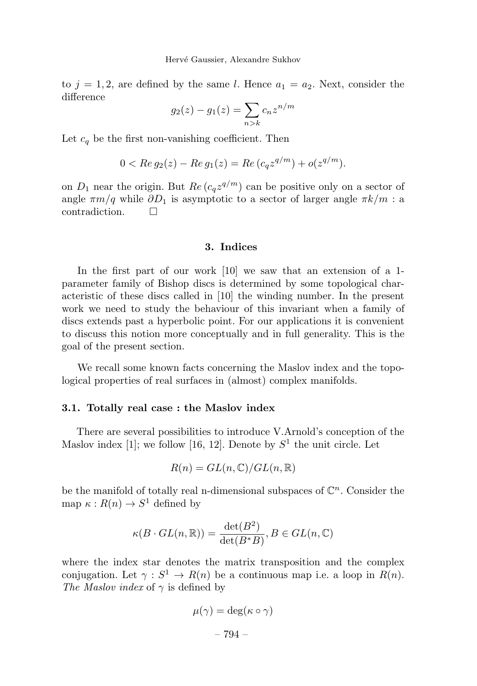to  $j = 1, 2$ , are defined by the same l. Hence  $a_1 = a_2$ . Next, consider the difference

$$
g_2(z) - g_1(z) = \sum_{n>k} c_n z^{n/m}
$$

Let  $c_q$  be the first non-vanishing coefficient. Then

$$
0 < \operatorname{Re} g_2(z) - \operatorname{Re} g_1(z) = \operatorname{Re} (c_q z^{q/m}) + o(z^{q/m}).
$$

on  $D_1$  near the origin. But  $Re(c_qz^{q/m})$  can be positive only on a sector of angle  $\pi m/q$  while  $\partial D_1$  is asymptotic to a sector of larger angle  $\pi k/m$ : a contradiction.

#### 3. Indices

In the first part of our work [10] we saw that an extension of a 1parameter family of Bishop discs is determined by some topological characteristic of these discs called in [10] the winding number. In the present work we need to study the behaviour of this invariant when a family of discs extends past a hyperbolic point. For our applications it is convenient to discuss this notion more conceptually and in full generality. This is the goal of the present section.

We recall some known facts concerning the Maslov index and the topological properties of real surfaces in (almost) complex manifolds.

## 3.1. Totally real case : the Maslov index

There are several possibilities to introduce V.Arnold's conception of the Maslov index [1]; we follow [16, 12]. Denote by  $S^1$  the unit circle. Let

$$
R(n) = GL(n, \mathbb{C})/GL(n, \mathbb{R})
$$

be the manifold of totally real n-dimensional subspaces of  $\mathbb{C}^n$ . Consider the map  $\kappa : R(n) \to S^1$  defined by

$$
\kappa(B \cdot GL(n, \mathbb{R})) = \frac{\det(B^2)}{\det(B^*B)}, B \in GL(n, \mathbb{C})
$$

where the index star denotes the matrix transposition and the complex conjugation. Let  $\gamma : S^1 \to R(n)$  be a continuous map i.e. a loop in  $R(n)$ . The Maslov index of  $\gamma$  is defined by

$$
\mu(\gamma) = \deg(\kappa \circ \gamma)
$$

$$
-794 -
$$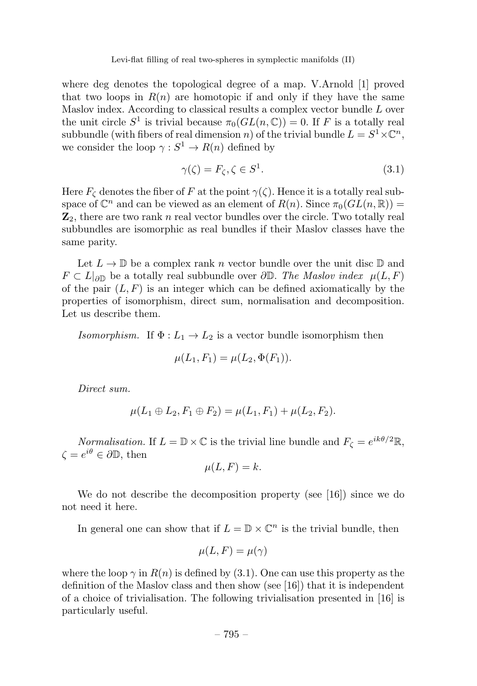where deg denotes the topological degree of a map. V.Arnold [1] proved that two loops in  $R(n)$  are homotopic if and only if they have the same Maslov index. According to classical results a complex vector bundle L over the unit circle  $S^1$  is trivial because  $\pi_0(GL(n,\mathbb{C})) = 0$ . If F is a totally real subbundle (with fibers of real dimension n) of the trivial bundle  $L = S^1 \times \mathbb{C}^n$ , we consider the loop  $\gamma : S^1 \to R(n)$  defined by

$$
\gamma(\zeta) = F_{\zeta}, \zeta \in S^1. \tag{3.1}
$$

Here  $F_{\zeta}$  denotes the fiber of F at the point  $\gamma(\zeta)$ . Hence it is a totally real subspace of  $\mathbb{C}^n$  and can be viewed as an element of  $R(n)$ . Since  $\pi_0(GL(n,\mathbb{R})) =$  $\mathbb{Z}_2$ , there are two rank n real vector bundles over the circle. Two totally real subbundles are isomorphic as real bundles if their Maslov classes have the same parity.

Let  $L \to \mathbb{D}$  be a complex rank n vector bundle over the unit disc  $\mathbb{D}$  and  $F \subset L|_{\partial\mathbb{D}}$  be a totally real subbundle over  $\partial\mathbb{D}$ . The Maslov index  $\mu(L, F)$ of the pair  $(L, F)$  is an integer which can be defined axiomatically by the properties of isomorphism, direct sum, normalisation and decomposition. Let us describe them.

Isomorphism. If  $\Phi: L_1 \to L_2$  is a vector bundle isomorphism then

$$
\mu(L_1, F_1) = \mu(L_2, \Phi(F_1)).
$$

Direct sum.

$$
\mu(L_1 \oplus L_2, F_1 \oplus F_2) = \mu(L_1, F_1) + \mu(L_2, F_2).
$$

*Normalisation.* If  $L = \mathbb{D} \times \mathbb{C}$  is the trivial line bundle and  $F_{\zeta} = e^{ik\theta/2}\mathbb{R}$ ,  $\zeta = e^{i\theta} \in \partial \mathbb{D}$ , then

$$
\mu(L, F) = k.
$$

We do not describe the decomposition property (see  $[16]$ ) since we do not need it here.

In general one can show that if  $L = \mathbb{D} \times \mathbb{C}^n$  is the trivial bundle, then

$$
\mu(L, F) = \mu(\gamma)
$$

where the loop  $\gamma$  in  $R(n)$  is defined by (3.1). One can use this property as the definition of the Maslov class and then show (see [16]) that it is independent of a choice of trivialisation. The following trivialisation presented in [16] is particularly useful.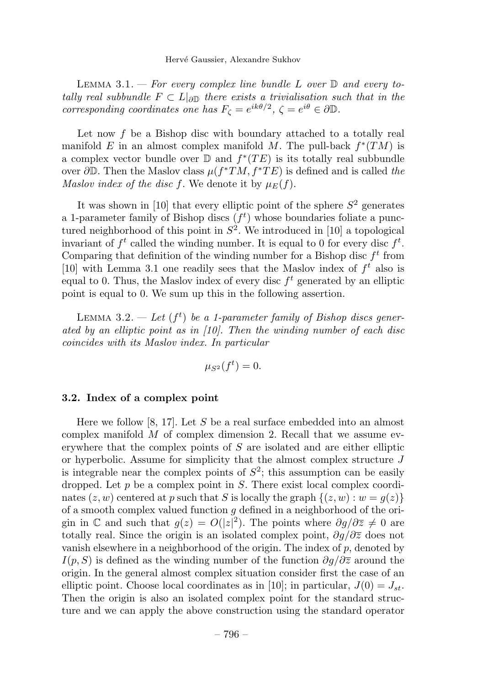LEMMA 3.1. – For every complex line bundle L over  $\mathbb D$  and every totally real subbundle  $F \subset L|_{\partial \mathbb{D}}$  there exists a trivialisation such that in the corresponding coordinates one has  $F_{\zeta} = e^{ik\theta/2}$ ,  $\zeta = e^{i\theta} \in \partial \mathbb{D}$ .

Let now  $f$  be a Bishop disc with boundary attached to a totally real manifold E in an almost complex manifold M. The pull-back  $f^*(TM)$  is a complex vector bundle over  $\mathbb D$  and  $f^*(TE)$  is its totally real subbundle over  $\partial \mathbb{D}$ . Then the Maslov class  $\mu(f^*TM, f^*TE)$  is defined and is called the Maslov index of the disc f. We denote it by  $\mu_E(f)$ .

It was shown in [10] that every elliptic point of the sphere  $S^2$  generates a 1-parameter family of Bishop discs  $(f<sup>t</sup>)$  whose boundaries foliate a punctured neighborhood of this point in  $S^2$ . We introduced in [10] a topological invariant of  $f^t$  called the winding number. It is equal to 0 for every disc  $f^t$ . Comparing that definition of the winding number for a Bishop disc  $f<sup>t</sup>$  from [10] with Lemma 3.1 one readily sees that the Maslov index of  $f<sup>t</sup>$  also is equal to 0. Thus, the Maslov index of every disc  $f<sup>t</sup>$  generated by an elliptic point is equal to 0. We sum up this in the following assertion.

LEMMA 3.2.  $-$  Let  $(f<sup>t</sup>)$  be a 1-parameter family of Bishop discs generated by an elliptic point as in [10]. Then the winding number of each disc coincides with its Maslovindex. In particular

$$
\mu_{S^2}(f^t) = 0.
$$

#### 3.2. Index of a complex point

Here we follow [8, 17]. Let S be a real surface embedded into an almost complex manifold  $M$  of complex dimension 2. Recall that we assume everywhere that the complex points of  $S$  are isolated and are either elliptic or hyperbolic. Assume for simplicity that the almost complex structure  $J$ is integrable near the complex points of  $S^2$ ; this assumption can be easily dropped. Let  $p$  be a complex point in  $S$ . There exist local complex coordinates  $(z, w)$  centered at p such that S is locally the graph  $\{(z, w) : w = g(z)\}\$ of a smooth complex valued function  $g$  defined in a neighborhood of the origin in  $\mathbb C$  and such that  $g(z) = O(|z|^2)$ . The points where  $\partial g/\partial \overline{z} \neq 0$  are totally real. Since the origin is an isolated complex point,  $\partial g/\partial \overline{z}$  does not vanish elsewhere in a neighborhood of the origin. The index of  $p$ , denoted by  $I(p, S)$  is defined as the winding number of the function  $\partial g/\partial \overline{z}$  around the origin. In the general almost complex situation consider first the case of an elliptic point. Choose local coordinates as in [10]; in particular,  $J(0) = J_{st}$ . Then the origin is also an isolated complex point for the standard structure and we can apply the above construction using the standard operator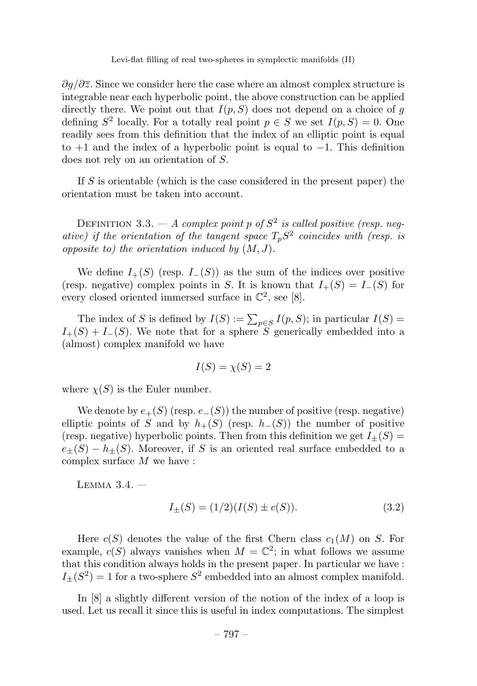$\partial q/\partial \overline{z}$ . Since we consider here the case where an almost complex structure is integrable near each hyperbolic point, the above construction can be applied directly there. We point out that  $I(p, S)$  does not depend on a choice of g defining  $S^2$  locally. For a totally real point  $p \in S$  we set  $I(p, S) = 0$ . One readily sees from this definition that the index of an elliptic point is equal to  $+1$  and the index of a hyperbolic point is equal to  $-1$ . This definition does not rely on an orientation of S.

If  $S$  is orientable (which is the case considered in the present paper) the orientation must be taken into account.

DEFINITION 3.3. — A complex point p of  $S^2$  is called positive (resp. negative) if the orientation of the tangent space  $T_pS^2$  coincides with (resp. is opposite to) the orientation induced by  $(M, J)$ .

We define  $I_{+}(S)$  (resp.  $I_{-}(S)$ ) as the sum of the indices over positive (resp. negative) complex points in S. It is known that  $I_{+}(S) = I_{-}(S)$  for every closed oriented immersed surface in  $\mathbb{C}^2$ , see [8].

The index of S is defined by  $I(S) := \sum_{p \in S} I(p, S)$ ; in particular  $I(S) =$  $I_{+}(S) + I_{-}(S)$ . We note that for a sphere S generically embedded into a (almost) complex manifold we have

$$
I(S) = \chi(S) = 2
$$

where  $\chi(S)$  is the Euler number.

We denote by  $e_{+}(S)$  (resp.  $e_{-}(S)$ ) the number of positive (resp. negative) elliptic points of S and by  $h_{+}(S)$  (resp.  $h_{-}(S)$ ) the number of positive (resp. negative) hyperbolic points. Then from this definition we get  $I_{+}(S)$  =  $e_{+}(S) - h_{+}(S)$ . Moreover, if S is an oriented real surface embedded to a complex surface M we have :

 $LEMMA$   $3.4.$   $-$ 

$$
I_{\pm}(S) = (1/2)(I(S) \pm c(S)).
$$
\n(3.2)

Here  $c(S)$  denotes the value of the first Chern class  $c_1(M)$  on S. For example,  $c(S)$  always vanishes when  $M = \mathbb{C}^2$ ; in what follows we assume that this condition always holds in the present paper. In particular we have :  $I_{\pm}(S^2)=1$  for a two-sphere  $S^2$  embedded into an almost complex manifold.

In [8] a slightly different version of the notion of the index of a loop is used. Let us recall it since this is useful in index computations. The simplest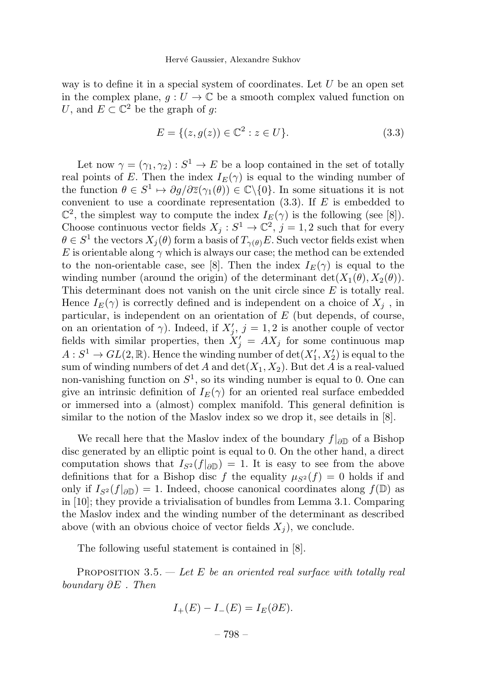way is to define it in a special system of coordinates. Let  $U$  be an open set in the complex plane,  $g: U \to \mathbb{C}$  be a smooth complex valued function on U, and  $E \subset \mathbb{C}^2$  be the graph of g:

$$
E = \{(z, g(z)) \in \mathbb{C}^2 : z \in U\}.
$$
\n(3.3)

Let now  $\gamma = (\gamma_1, \gamma_2) : S^1 \to E$  be a loop contained in the set of totally real points of E. Then the index  $I_E(\gamma)$  is equal to the winding number of the function  $\theta \in S^1 \mapsto \partial g / \partial \overline{z}(\gamma_1(\theta)) \in \mathbb{C} \backslash \{0\}$ . In some situations it is not convenient to use a coordinate representation  $(3.3)$ . If E is embedded to  $\mathbb{C}^2$ , the simplest way to compute the index  $I_E(\gamma)$  is the following (see [8]). Choose continuous vector fields  $X_j : S^1 \to \mathbb{C}^2$ ,  $j = 1, 2$  such that for every  $\theta \in S^1$  the vectors  $X_i(\theta)$  form a basis of  $T_{\gamma(\theta)}E$ . Such vector fields exist when E is orientable along  $\gamma$  which is always our case; the method can be extended to the non-orientable case, see [8]. Then the index  $I_E(\gamma)$  is equal to the winding number (around the origin) of the determinant  $\det(X_1(\theta), X_2(\theta)).$ This determinant does not vanish on the unit circle since  $E$  is totally real. Hence  $I_E(\gamma)$  is correctly defined and is independent on a choice of  $X_i$ , in particular, is independent on an orientation of  $E$  (but depends, of course, on an orientation of  $\gamma$ ). Indeed, if  $X'_{j}$ ,  $j = 1, 2$  is another couple of vector fields with similar properties, then  $X'_{j} = AX_{j}$  for some continuous map  $A: S^1 \to GL(2, \mathbb{R})$ . Hence the winding number of  $\det(X'_1, X'_2)$  is equal to the sum of winding numbers of det A and  $\det(X_1, X_2)$ . But  $\det A$  is a real-valued non-vanishing function on  $S^1$ , so its winding number is equal to 0. One can give an intrinsic definition of  $I_E(\gamma)$  for an oriented real surface embedded or immersed into a (almost) complex manifold. This general definition is similar to the notion of the Maslov index so we drop it, see details in [8].

We recall here that the Maslov index of the boundary  $f|_{\partial \mathbb{D}}$  of a Bishop disc generated by an elliptic point is equal to 0. On the other hand, a direct computation shows that  $I_{S^2}(f|_{\partial\mathbb{D}})=1$ . It is easy to see from the above definitions that for a Bishop disc f the equality  $\mu_{S^2}(f)=0$  holds if and only if  $I_{S^2}(f|_{\partial\mathbb{D}})=1$ . Indeed, choose canonical coordinates along  $f(\mathbb{D})$  as in [10]; they provide a trivialisation of bundles from Lemma 3.1. Comparing the Maslov index and the winding number of the determinant as described above (with an obvious choice of vector fields  $X_j$ ), we conclude.

The following useful statement is contained in [8].

PROPOSITION 3.5.  $-$  Let E be an oriented real surface with totally real boundary ∂E . Then

$$
I_{+}(E) - I_{-}(E) = I_{E}(\partial E).
$$

– 798 –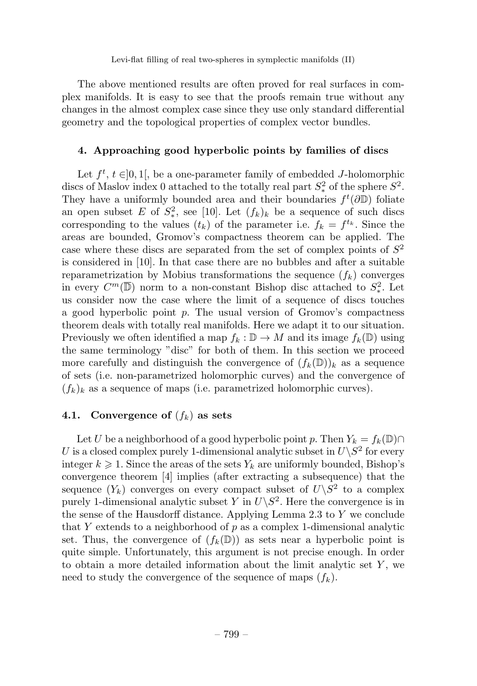The above mentioned results are often proved for real surfaces in complex manifolds. It is easy to see that the proofs remain true without any changes in the almost complex case since they use only standard differential geometry and the topological properties of complex vector bundles.

# 4. Approaching good hyperbolic points by families of discs

Let  $f^t$ ,  $t \in ]0,1[$ , be a one-parameter family of embedded J-holomorphic discs of Maslov index 0 attached to the totally real part  $S^2$  of the sphere  $S^2$ . They have a uniformly bounded area and their boundaries  $f^t(\partial \mathbb{D})$  foliate an open subset E of  $S^2$ , see [10]. Let  $(f_k)_k$  be a sequence of such discs corresponding to the values  $(t_k)$  of the parameter i.e.  $f_k = f^{t_k}$ . Since the areas are bounded, Gromov's compactness theorem can be applied. The case where these discs are separated from the set of complex points of  $S<sup>2</sup>$ is considered in [10]. In that case there are no bubbles and after a suitable reparametrization by Mobius transformations the sequence  $(f_k)$  converges in every  $C^m(\overline{\mathbb{D}})$  norm to a non-constant Bishop disc attached to  $S^2_*$ . Let us consider now the case where the limit of a sequence of discs touches a good hyperbolic point  $p$ . The usual version of Gromov's compactness theorem deals with totally real manifolds. Here we adapt it to our situation. Previously we often identified a map  $f_k : \mathbb{D} \to M$  and its image  $f_k(\mathbb{D})$  using the same terminology "disc" for both of them. In this section we proceed more carefully and distinguish the convergence of  $(f_k(\mathbb{D}))_k$  as a sequence of sets (i.e. non-parametrized holomorphic curves) and the convergence of  $(f_k)_k$  as a sequence of maps (i.e. parametrized holomorphic curves).

# 4.1. Convergence of  $(f_k)$  as sets

Let U be a neighborhood of a good hyperbolic point p. Then  $Y_k = f_k(\mathbb{D}) \cap$ U is a closed complex purely 1-dimensional analytic subset in  $U\backslash S^2$  for every integer  $k \geqslant 1$ . Since the areas of the sets  $Y_k$  are uniformly bounded, Bishop's convergence theorem [4] implies (after extracting a subsequence) that the sequence  $(Y_k)$  converges on every compact subset of  $U\backslash S^2$  to a complex purely 1-dimensional analytic subset Y in  $U\backslash S^2$ . Here the convergence is in the sense of the Hausdorff distance. Applying Lemma 2.3 to Y we conclude that Y extends to a neighborhood of  $p$  as a complex 1-dimensional analytic set. Thus, the convergence of  $(f_k(\mathbb{D}))$  as sets near a hyperbolic point is quite simple. Unfortunately, this argument is not precise enough. In order to obtain a more detailed information about the limit analytic set  $Y$ , we need to study the convergence of the sequence of maps  $(f_k)$ .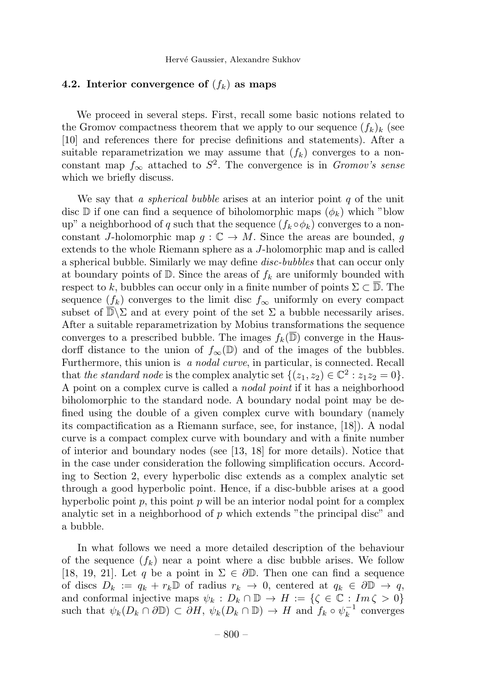# 4.2. Interior convergence of  $(f_k)$  as maps

We proceed in several steps. First, recall some basic notions related to the Gromov compactness theorem that we apply to our sequence  $(f_k)_k$  (see [10] and references there for precise definitions and statements). After a suitable reparametrization we may assume that  $(f_k)$  converges to a nonconstant map  $f_{\infty}$  attached to  $S^2$ . The convergence is in *Gromov's sense* which we briefly discuss.

We say that a *spherical bubble* arises at an interior point  $q$  of the unit disc  $\mathbb D$  if one can find a sequence of biholomorphic maps  $(\phi_k)$  which "blow up" a neighborhood of q such that the sequence  $(f_k \circ \phi_k)$  converges to a nonconstant J-holomorphic map  $g: \mathbb{C} \to M$ . Since the areas are bounded, g extends to the whole Riemann sphere as a J-holomorphic map and is called a spherical bubble. Similarly we may define *disc-bubbles* that can occur only at boundary points of  $\mathbb{D}$ . Since the areas of  $f_k$  are uniformly bounded with respect to k, bubbles can occur only in a finite number of points  $\Sigma \subset \overline{\mathbb{D}}$ . The sequence  $(f_k)$  converges to the limit disc  $f_{\infty}$  uniformly on every compact subset of  $\overline{\mathbb{D}}\backslash\Sigma$  and at every point of the set  $\Sigma$  a bubble necessarily arises. After a suitable reparametrization by Mobius transformations the sequence converges to a prescribed bubble. The images  $f_k(\overline{\mathbb{D}})$  converge in the Hausdorff distance to the union of  $f_{\infty}(\mathbb{D})$  and of the images of the bubbles. Furthermore, this union is a nodal curve, in particular, is connected. Recall that the standard node is the complex analytic set  $\{(z_1, z_2) \in \mathbb{C}^2 : z_1z_2 = 0\}.$ A point on a complex curve is called a *nodal point* if it has a neighborhood biholomorphic to the standard node. A boundary nodal point may be defined using the double of a given complex curve with boundary (namely its compactification as a Riemann surface, see, for instance, [18]). A nodal curve is a compact complex curve with boundary and with a finite number of interior and boundary nodes (see [13, 18] for more details). Notice that in the case under consideration the following simplification occurs. According to Section 2, every hyperbolic disc extends as a complex analytic set through a good hyperbolic point. Hence, if a disc-bubble arises at a good hyperbolic point  $p$ , this point  $p$  will be an interior nodal point for a complex analytic set in a neighborhood of  $p$  which extends "the principal disc" and a bubble.

In what follows we need a more detailed description of the behaviour of the sequence  $(f_k)$  near a point where a disc bubble arises. We follow [18, 19, 21]. Let q be a point in  $\Sigma \in \partial \mathbb{D}$ . Then one can find a sequence of discs  $D_k := q_k + r_k \mathbb{D}$  of radius  $r_k \to 0$ , centered at  $q_k \in \partial \mathbb{D} \to q$ , and conformal injective maps  $\psi_k : D_k \cap \mathbb{D} \to H := \{ \zeta \in \mathbb{C} : Im \, \zeta > 0 \}$ such that  $\psi_k(D_k \cap \partial \mathbb{D}) \subset \partial H$ ,  $\psi_k(D_k \cap \mathbb{D}) \to H$  and  $f_k \circ \psi_k^{-1}$  converges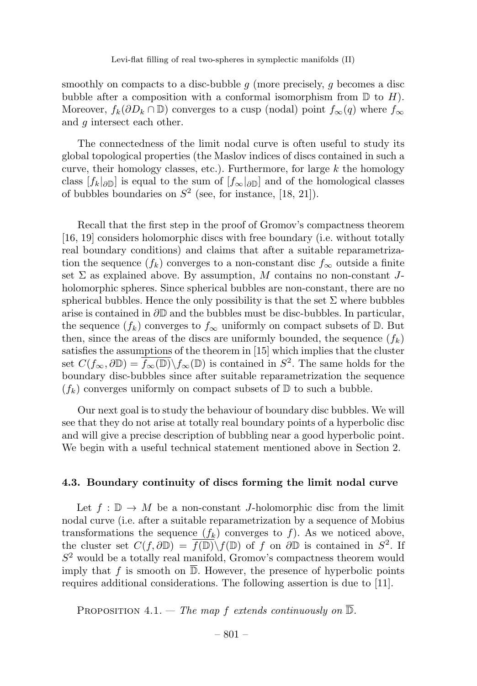smoothly on compacts to a disc-bubble  $g$  (more precisely,  $g$  becomes a disc bubble after a composition with a conformal isomorphism from  $\mathbb D$  to  $H$ ). Moreover,  $f_k(\partial D_k \cap \mathbb{D})$  converges to a cusp (nodal) point  $f_{\infty}(q)$  where  $f_{\infty}$ and q intersect each other.

The connectedness of the limit nodal curve is often useful to study its global topological properties (the Maslov indices of discs contained in such a curve, their homology classes, etc.). Furthermore, for large  $k$  the homology class  $[f_k]_{\partial\mathbb{D}}$  is equal to the sum of  $[f_\infty]_{\partial\mathbb{D}}$  and of the homological classes of bubbles boundaries on  $S^2$  (see, for instance, [18, 21]).

Recall that the first step in the proof of Gromov's compactness theorem [16, 19] considers holomorphic discs with free boundary (i.e. without totally real boundary conditions) and claims that after a suitable reparametrization the sequence  $(f_k)$  converges to a non-constant disc  $f_\infty$  outside a finite set  $\Sigma$  as explained above. By assumption, M contains no non-constant Jholomorphic spheres. Since spherical bubbles are non-constant, there are no spherical bubbles. Hence the only possibility is that the set  $\Sigma$  where bubbles arise is contained in  $\partial \mathbb{D}$  and the bubbles must be disc-bubbles. In particular, the sequence  $(f_k)$  converges to  $f_\infty$  uniformly on compact subsets of D. But then, since the areas of the discs are uniformly bounded, the sequence  $(f_k)$ satisfies the assumptions of the theorem in [15] which implies that the cluster set  $C(f_{\infty}, \partial \mathbb{D}) = \overline{f_{\infty}(\mathbb{D})} \backslash f_{\infty}(\mathbb{D})$  is contained in  $S^2$ . The same holds for the boundary disc-bubbles since after suitable reparametrization the sequence  $(f_k)$  converges uniformly on compact subsets of D to such a bubble.

Our next goal is to study the behaviour of boundary disc bubbles. We will see that they do not arise at totally real boundary points of a hyperbolic disc and will give a precise description of bubbling near a good hyperbolic point. We begin with a useful technical statement mentioned above in Section 2.

# 4.3. Boundary continuity of discs forming the limit nodal curve

Let  $f : \mathbb{D} \to M$  be a non-constant *J*-holomorphic disc from the limit nodal curve (i.e. after a suitable reparametrization by a sequence of Mobius transformations the sequence  $(f_k)$  converges to f). As we noticed above, the cluster set  $C(f, \partial \mathbb{D}) = \overline{f(\mathbb{D})} \backslash f(\mathbb{D})$  of f on  $\partial \mathbb{D}$  is contained in  $S^2$ . If  $S<sup>2</sup>$  would be a totally real manifold, Gromov's compactness theorem would imply that f is smooth on  $\overline{\mathbb{D}}$ . However, the presence of hyperbolic points requires additional considerations. The following assertion is due to [11].

PROPOSITION 4.1. — The map f extends continuously on  $\overline{\mathbb{D}}$ .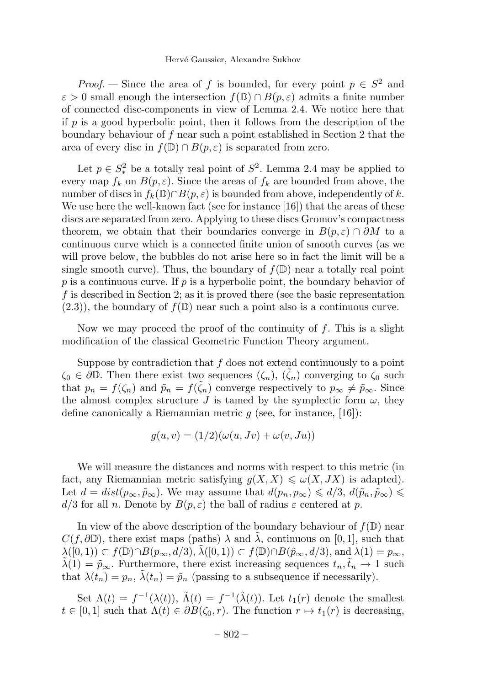*Proof.* — Since the area of f is bounded, for every point  $p \in S^2$  and  $\varepsilon > 0$  small enough the intersection  $f(\mathbb{D}) \cap B(p, \varepsilon)$  admits a finite number of connected disc-components in view of Lemma 2.4. We notice here that if  $p$  is a good hyperbolic point, then it follows from the description of the boundary behaviour of f near such a point established in Section 2 that the area of every disc in  $f(\mathbb{D}) \cap B(p,\varepsilon)$  is separated from zero.

Let  $p \in S^2_*$  be a totally real point of  $S^2$ . Lemma 2.4 may be applied to every map  $f_k$  on  $B(p, \varepsilon)$ . Since the areas of  $f_k$  are bounded from above, the number of discs in  $f_k(\mathbb{D}) \cap B(p, \varepsilon)$  is bounded from above, independently of k. We use here the well-known fact (see for instance  $[16]$ ) that the areas of these discs are separated from zero. Applying to these discs Gromov's compactness theorem, we obtain that their boundaries converge in  $B(p, \varepsilon) \cap \partial M$  to a continuous curve which is a connected finite union of smooth curves (as we will prove below, the bubbles do not arise here so in fact the limit will be a single smooth curve). Thus, the boundary of  $f(\mathbb{D})$  near a totally real point  $p$  is a continuous curve. If  $p$  is a hyperbolic point, the boundary behavior of f is described in Section 2; as it is proved there (see the basic representation  $(2.3)$ , the boundary of  $f(\mathbb{D})$  near such a point also is a continuous curve.

Now we may proceed the proof of the continuity of f. This is a slight modification of the classical Geometric Function Theory argument.

Suppose by contradiction that  $f$  does not extend continuously to a point  $\zeta_0 \in \partial \mathbb{D}$ . Then there exist two sequences  $(\zeta_n)$ ,  $(\tilde{\zeta}_n)$  converging to  $\zeta_0$  such that  $p_n = f(\zeta_n)$  and  $\tilde{p}_n = f(\tilde{\zeta}_n)$  converge respectively to  $p_\infty \neq \tilde{p}_\infty$ . Since the almost complex structure J is tamed by the symplectic form  $\omega$ , they define canonically a Riemannian metric  $q$  (see, for instance, [16]):

$$
g(u, v) = (1/2)(\omega(u, Jv) + \omega(v, Ju))
$$

We will measure the distances and norms with respect to this metric (in fact, any Riemannian metric satisfying  $g(X, X) \leq \omega(X, JX)$  is adapted). Let  $d = dist(p_\infty, \tilde{p}_\infty)$ . We may assume that  $d(p_n, p_\infty) \leq d/3$ ,  $d(\tilde{p}_n, \tilde{p}_\infty) \leq$  $d/3$  for all n. Denote by  $B(p,\varepsilon)$  the ball of radius  $\varepsilon$  centered at p.

In view of the above description of the boundary behaviour of  $f(\mathbb{D})$  near  $C(f,\partial\mathbb{D})$ , there exist maps (paths)  $\lambda$  and  $\lambda$ , continuous on [0, 1], such that  $\lambda([0,1)) \subset f(\mathbb{D}) \cap B(p_{\infty}, d/3), \lambda([0,1)) \subset f(\mathbb{D}) \cap B(\tilde{p}_{\infty}, d/3), \text{ and } \lambda(1)=p_{\infty},$  $\tilde{\lambda}(1) = \tilde{p}_{\infty}$ . Furthermore, there exist increasing sequences  $t_n, \tilde{t}_n \to 1$  such that  $\lambda(t_n) = p_n$ ,  $\tilde{\lambda}(t_n) = \tilde{p}_n$  (passing to a subsequence if necessarily).

Set  $\Lambda(t) = f^{-1}(\lambda(t)), \tilde{\Lambda}(t) = f^{-1}(\tilde{\lambda}(t)).$  Let  $t_1(r)$  denote the smallest  $t \in [0,1]$  such that  $\Lambda(t) \in \partial B(\zeta_0,r)$ . The function  $r \mapsto t_1(r)$  is decreasing,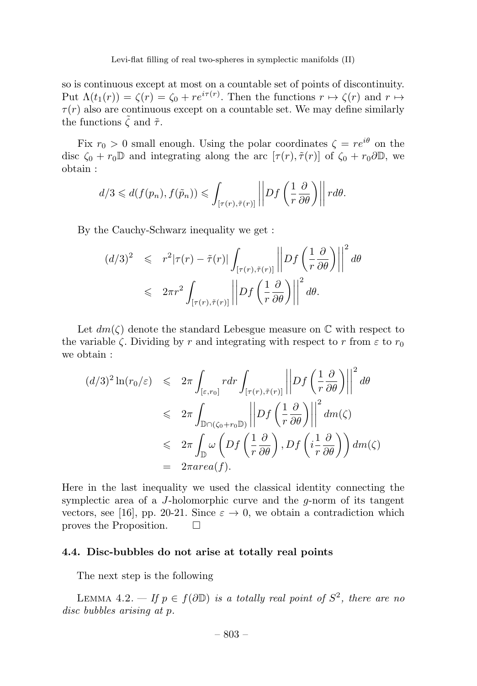so is continuous except at most on a countable set of points of discontinuity. Put  $\Lambda(t_1(r)) = \zeta(r) = \zeta_0 + re^{i\tau(r)}$ . Then the functions  $r \mapsto \zeta(r)$  and  $r \mapsto$  $\tau(r)$  also are continuous except on a countable set. We may define similarly the functions  $\tilde{\zeta}$  and  $\tilde{\tau}$ .

Fix  $r_0 > 0$  small enough. Using the polar coordinates  $\zeta = re^{i\theta}$  on the disc  $\zeta_0 + r_0 \mathbb{D}$  and integrating along the arc  $[\tau(r), \tilde{\tau}(r)]$  of  $\zeta_0 + r_0 \partial \mathbb{D}$ , we obtain :

$$
d/3 \leq d(f(p_n), f(\tilde{p}_n)) \leq \int_{[\tau(r), \tilde{\tau}(r)]} \left| Df\left(\frac{1}{r}\frac{\partial}{\partial \theta}\right) \right| r d\theta.
$$

By the Cauchy-Schwarz inequality we get :

$$
(d/3)^2 \leq r^2 |\tau(r) - \tilde{\tau}(r)| \int_{[\tau(r), \tilde{\tau}(r)]} \left| Df\left(\frac{1}{r} \frac{\partial}{\partial \theta}\right) \right|^2 d\theta
$$
  

$$
\leq 2\pi r^2 \int_{[\tau(r), \tilde{\tau}(r)]} \left| Df\left(\frac{1}{r} \frac{\partial}{\partial \theta}\right) \right|^2 d\theta.
$$

Let  $dm(\zeta)$  denote the standard Lebesgue measure on  $\mathbb C$  with respect to the variable  $\zeta$ . Dividing by r and integrating with respect to r from  $\varepsilon$  to  $r_0$ we obtain :

$$
(d/3)^2 \ln(r_0/\varepsilon) \leq 2\pi \int_{[\varepsilon, r_0]} r dr \int_{[\tau(r), \tilde{\tau}(r)]} \left| Df\left(\frac{1}{r} \frac{\partial}{\partial \theta}\right) \right|^2 d\theta
$$
  

$$
\leq 2\pi \int_{\mathbb{D} \cap (\zeta_0 + r_0 \mathbb{D})} \left| Df\left(\frac{1}{r} \frac{\partial}{\partial \theta}\right) \right|^2 dm(\zeta)
$$
  

$$
\leq 2\pi \int_{\mathbb{D}} \omega \left( Df\left(\frac{1}{r} \frac{\partial}{\partial \theta}\right), Df\left(i\frac{1}{r} \frac{\partial}{\partial \theta}\right) \right) dm(\zeta)
$$
  

$$
= 2\pi area(f).
$$

Here in the last inequality we used the classical identity connecting the symplectic area of a J-holomorphic curve and the  $q$ -norm of its tangent vectors, see [16], pp. 20-21. Since  $\varepsilon \to 0$ , we obtain a contradiction which proves the Proposition. proves the Proposition.

#### 4.4. Disc-bubbles do not arise at totally real points

The next step is the following

LEMMA 4.2. — If  $p \in f(\partial \mathbb{D})$  is a totally real point of  $S^2$ , there are no disc bubbles arising at p.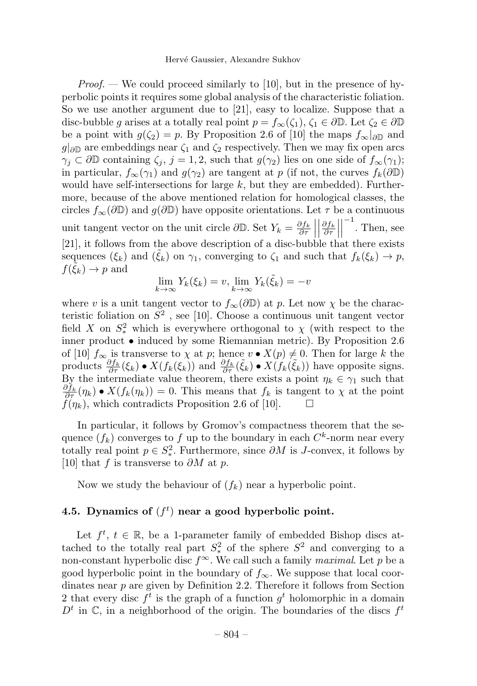*Proof.* — We could proceed similarly to [10], but in the presence of hyperbolic points it requires some global analysis of the characteristic foliation. So we use another argument due to [21], easy to localize. Suppose that a disc-bubble g arises at a totally real point  $p = f_{\infty}(\zeta_1), \zeta_1 \in \partial \mathbb{D}$ . Let  $\zeta_2 \in \partial \mathbb{D}$ be a point with  $g(\zeta_2) = p$ . By Proposition 2.6 of [10] the maps  $f_{\infty}|_{\partial \mathbb{D}}$  and  $g|_{\partial\mathbb{D}}$  are embeddings near  $\zeta_1$  and  $\zeta_2$  respectively. Then we may fix open arcs  $\gamma_i \subset \partial \mathbb{D}$  containing  $\zeta_i$ ,  $j = 1, 2$ , such that  $g(\gamma_2)$  lies on one side of  $f_{\infty}(\gamma_1)$ ; in particular,  $f_{\infty}(\gamma_1)$  and  $g(\gamma_2)$  are tangent at p (if not, the curves  $f_k(\partial \mathbb{D})$ would have self-intersections for large  $k$ , but they are embedded). Furthermore, because of the above mentioned relation for homological classes, the circles  $f_{\infty}(\partial \mathbb{D})$  and  $g(\partial \mathbb{D})$  have opposite orientations. Let  $\tau$  be a continuous unit tangent vector on the unit circle  $\partial \mathbb{D}$ . Set  $Y_k = \frac{\partial f_k}{\partial \tau}$  $\begin{array}{c} \begin{array}{c} \begin{array}{c} \end{array} \\ \begin{array}{c} \end{array} \end{array} \end{array}$  $\begin{array}{c} \hline \end{array}$ ∂f<sup>k</sup> ∂τ  $^{-1}$ . Then, see [21], it follows from the above description of a disc-bubble that there exists sequences  $(\xi_k)$  and  $(\tilde{\xi}_k)$  on  $\gamma_1$ , converging to  $\zeta_1$  and such that  $f_k(\xi_k) \to p$ ,  $f(\xi_k) \to p$  and

$$
\lim_{k \to \infty} Y_k(\xi_k) = v, \lim_{k \to \infty} Y_k(\tilde{\xi}_k) = -v
$$

where v is a unit tangent vector to  $f_{\infty}(\partial \mathbb{D})$  at p. Let now  $\chi$  be the characteristic foliation on  $S^2$ , see [10]. Choose a continuous unit tangent vector field X on  $S^2$  which is everywhere orthogonal to  $\chi$  (with respect to the inner product • induced by some Riemannian metric). By Proposition 2.6 of [10]  $f_{\infty}$  is transverse to  $\chi$  at  $p$ ; hence  $v \bullet X(p) \neq 0$ . Then for large k the products  $\frac{\partial f_k}{\partial \tau}(\xi_k) \bullet X(f_k(\xi_k))$  and  $\frac{\partial f_k}{\partial \tau}(\tilde{\xi}_k) \bullet X(f_k(\tilde{\xi}_k))$  have opposite signs. By the intermediate value theorem, there exists a point  $\eta_k \in \gamma_1$  such that  $\frac{\partial f_k}{\partial \tau}(\eta_k) \bullet X(f_k(\eta_k)) = 0.$  This means that  $f_k$  is tangent to  $\chi$  at the point  $f(\eta_k)$ , which contradicts Proposition 2.6 of [10].  $\Box$ 

In particular, it follows by Gromov's compactness theorem that the sequence  $(f_k)$  converges to f up to the boundary in each  $C^k$ -norm near every totally real point  $p \in S^2_*$ . Furthermore, since  $\partial M$  is J-convex, it follows by [10] that f is transverse to  $\partial M$  at p.

Now we study the behaviour of  $(f_k)$  near a hyperbolic point.

# 4.5. Dynamics of  $(f<sup>t</sup>)$  near a good hyperbolic point.

Let  $f^t$ ,  $t \in \mathbb{R}$ , be a 1-parameter family of embedded Bishop discs attached to the totally real part  $S^2_*$  of the sphere  $S^2$  and converging to a non-constant hyperbolic disc  $f^{\infty}$ . We call such a family maximal. Let p be a good hyperbolic point in the boundary of  $f_{\infty}$ . We suppose that local coordinates near  $p$  are given by Definition 2.2. Therefore it follows from Section 2 that every disc  $f^t$  is the graph of a function  $g^t$  holomorphic in a domain  $D<sup>t</sup>$  in  $\mathbb{C}$ , in a neighborhood of the origin. The boundaries of the discs  $f<sup>t</sup>$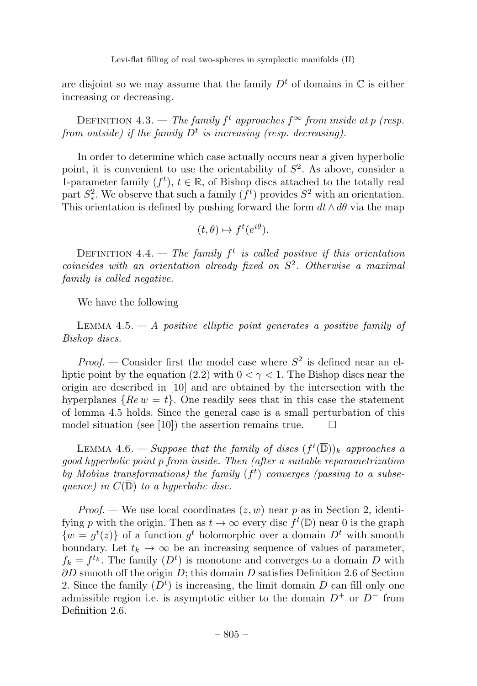are disjoint so we may assume that the family  $D<sup>t</sup>$  of domains in  $\mathbb C$  is either increasing or decreasing.

DEFINITION 4.3. — The family  $f^t$  approaches  $f^{\infty}$  from inside at p (resp. from outside) if the family  $D<sup>t</sup>$  is increasing (resp. decreasing).

In order to determine which case actually occurs near a given hyperbolic point, it is convenient to use the orientability of  $S^2$ . As above, consider a 1-parameter family  $(f^t)$ ,  $t \in \mathbb{R}$ , of Bishop discs attached to the totally real part  $S^2$ . We observe that such a family  $(f^t)$  provides  $S^2$  with an orientation. This orientation is defined by pushing forward the form  $dt \wedge d\theta$  via the map

$$
(t,\theta)\mapsto f^t(e^{i\theta}).
$$

DEFINITION 4.4. — The family  $f^t$  is called positive if this orientation coincides with an orientation already fixed on  $S^2$ . Otherwise a maximal family is called negative.

We have the following

LEMMA  $4.5. - A$  positive elliptic point generates a positive family of Bishop discs.

*Proof.* — Consider first the model case where  $S^2$  is defined near an elliptic point by the equation (2.2) with  $0 < \gamma < 1$ . The Bishop discs near the origin are described in [10] and are obtained by the intersection with the hyperplanes  $\{Re\, w = t\}$ . One readily sees that in this case the statement of lemma 4.5 holds. Since the general case is a small perturbation of this model situation (see [10]) the assertion remains true.  $\Box$ 

LEMMA 4.6. — Suppose that the family of discs  $(f^t(\overline{\mathbb{D}}))_k$  approaches a good hyperbolic point p from inside. Then (after a suitable reparametrization by Mobius transformations) the family  $(f<sup>t</sup>)$  converges (passing to a subsequence) in  $C(\overline{D})$  to a hyperbolic disc.

*Proof.* — We use local coordinates  $(z, w)$  near p as in Section 2, identifying p with the origin. Then as  $t \to \infty$  every disc  $f^t(\mathbb{D})$  near 0 is the graph  $\{w = g^t(z)\}\$  of a function  $g^t$  holomorphic over a domain  $D^t$  with smooth boundary. Let  $t_k \to \infty$  be an increasing sequence of values of parameter,  $f_k = f^{t_k}$ . The family  $(D^t)$  is monotone and converges to a domain D with  $\partial D$  smooth off the origin  $D$ ; this domain  $D$  satisfies Definition 2.6 of Section 2. Since the family  $(D<sup>t</sup>)$  is increasing, the limit domain D can fill only one admissible region i.e. is asymptotic either to the domain  $D^+$  or  $D^-$  from Definition 2.6.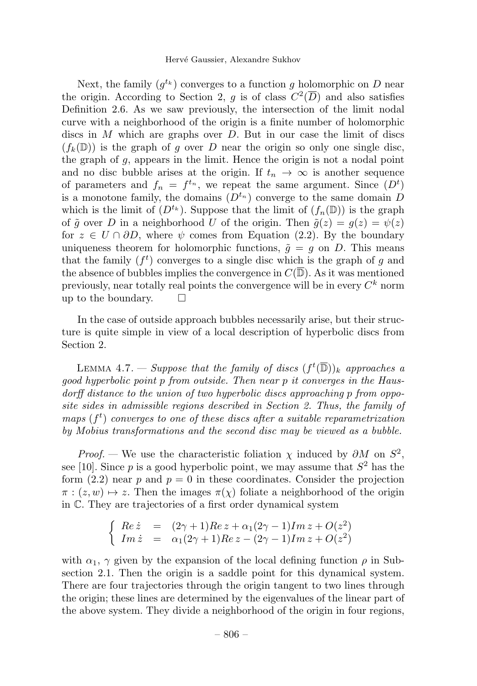Next, the family  $(q^{t_k})$  converges to a function g holomorphic on D near the origin. According to Section 2, g is of class  $C^2(\overline{D})$  and also satisfies Definition 2.6. As we saw previously, the intersection of the limit nodal curve with a neighborhood of the origin is a finite number of holomorphic discs in  $M$  which are graphs over  $D$ . But in our case the limit of discs  $(f_k(\mathbb{D}))$  is the graph of q over D near the origin so only one single disc, the graph of  $g$ , appears in the limit. Hence the origin is not a nodal point and no disc bubble arises at the origin. If  $t_n \to \infty$  is another sequence of parameters and  $f_n = f^{t_n}$ , we repeat the same argument. Since  $(D^t)$ is a monotone family, the domains  $(D^{t_n})$  converge to the same domain D which is the limit of  $(D^{t_k})$ . Suppose that the limit of  $(f_n(\mathbb{D}))$  is the graph of  $\tilde{g}$  over D in a neighborhood U of the origin. Then  $\tilde{g}(z) = g(z) = \psi(z)$ for  $z \in U \cap \partial D$ , where  $\psi$  comes from Equation (2.2). By the boundary uniqueness theorem for holomorphic functions,  $\tilde{q} = q$  on D. This means that the family  $(f<sup>t</sup>)$  converges to a single disc which is the graph of g and the absence of bubbles implies the convergence in  $C(\overline{\mathbb{D}})$ . As it was mentioned previously, near totally real points the convergence will be in every  $C^k$  norm up to the boundary.  $\square$ 

In the case of outside approach bubbles necessarily arise, but their structure is quite simple in view of a local description of hyperbolic discs from Section 2.

LEMMA 4.7. — Suppose that the family of discs  $(f^t(\overline{\mathbb{D}}))_k$  approaches a good hyperbolic point p from outside. Then near p it converges in the Hausdorff distance to the union of two hyperbolic discs approaching p from opposite sides in admissible regions described in Section 2. Thus, the family of maps  $(f<sup>t</sup>)$  converges to one of these discs after a suitable reparametrization by Mobius transformations and the second disc may be viewed as a bubble.

*Proof.* — We use the characteristic foliation  $\chi$  induced by  $\partial M$  on  $S^2$ , see [10]. Since p is a good hyperbolic point, we may assume that  $S<sup>2</sup>$  has the form  $(2.2)$  near p and  $p = 0$  in these coordinates. Consider the projection  $\pi$ :  $(z, w) \mapsto z$ . Then the images  $\pi(x)$  foliate a neighborhood of the origin in C. They are trajectories of a first order dynamical system

$$
\begin{cases}\nRe \,\dot{z} = (2\gamma + 1)Re \, z + \alpha_1 (2\gamma - 1) Im \, z + O(z^2) \\
Im \,\dot{z} = \alpha_1 (2\gamma + 1) Re \, z - (2\gamma - 1) Im \, z + O(z^2)\n\end{cases}
$$

with  $\alpha_1$ ,  $\gamma$  given by the expansion of the local defining function  $\rho$  in Subsection 2.1. Then the origin is a saddle point for this dynamical system. There are four trajectories through the origin tangent to two lines through the origin; these lines are determined by the eigenvalues of the linear part of the above system. They divide a neighborhood of the origin in four regions,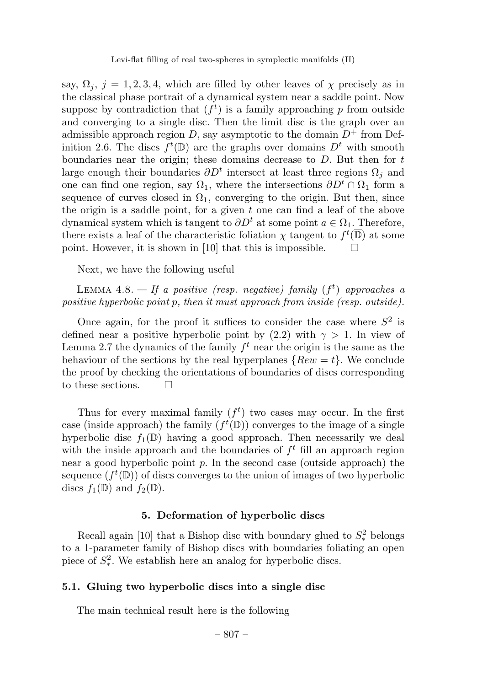say,  $\Omega_i$ ,  $j = 1, 2, 3, 4$ , which are filled by other leaves of  $\chi$  precisely as in the classical phase portrait of a dynamical system near a saddle point. Now suppose by contradiction that  $(f^t)$  is a family approaching p from outside and converging to a single disc. Then the limit disc is the graph over an admissible approach region D, say asymptotic to the domain  $D^+$  from Definition 2.6. The discs  $f^t(\mathbb{D})$  are the graphs over domains  $D^t$  with smooth boundaries near the origin; these domains decrease to  $D$ . But then for  $t$ large enough their boundaries  $\partial D^t$  intersect at least three regions  $\Omega_i$  and one can find one region, say  $\Omega_1$ , where the intersections  $\partial D^t \cap \Omega_1$  form a sequence of curves closed in  $\Omega_1$ , converging to the origin. But then, since the origin is a saddle point, for a given  $t$  one can find a leaf of the above dynamical system which is tangent to  $\partial D^t$  at some point  $a \in \Omega_1$ . Therefore, there exists a leaf of the characteristic foliation  $\chi$  tangent to  $f^t(\overline{\mathbb{D}})$  at some point. However, it is shown in [10] that this is impossible.  $\Box$ 

Next, we have the following useful

LEMMA 4.8.  $-$  If a positive (resp. negative) family  $(f<sup>t</sup>)$  approaches a positive hyperbolic point p, then it must approach from inside (resp. outside).

Once again, for the proof it suffices to consider the case where  $S^2$  is defined near a positive hyperbolic point by (2.2) with  $\gamma > 1$ . In view of Lemma 2.7 the dynamics of the family  $f<sup>t</sup>$  near the origin is the same as the behaviour of the sections by the real hyperplanes  $\{Rew = t\}$ . We conclude the proof by checking the orientations of boundaries of discs corresponding to these sections.  $\Box$ 

Thus for every maximal family  $(f^t)$  two cases may occur. In the first case (inside approach) the family  $(f^t(\mathbb{D}))$  converges to the image of a single hyperbolic disc  $f_1(\mathbb{D})$  having a good approach. Then necessarily we deal with the inside approach and the boundaries of  $f<sup>t</sup>$  fill an approach region near a good hyperbolic point  $p$ . In the second case (outside approach) the sequence  $(f^t(\mathbb{D}))$  of discs converges to the union of images of two hyperbolic discs  $f_1(\mathbb{D})$  and  $f_2(\mathbb{D})$ .

# 5. Deformation of hyperbolic discs

Recall again [10] that a Bishop disc with boundary glued to  $S^2_*$  belongs to a 1-parameter family of Bishop discs with boundaries foliating an open piece of  $S^2_*$ . We establish here an analog for hyperbolic discs.

# 5.1. Gluing two hyperbolic discs into a single disc

The main technical result here is the following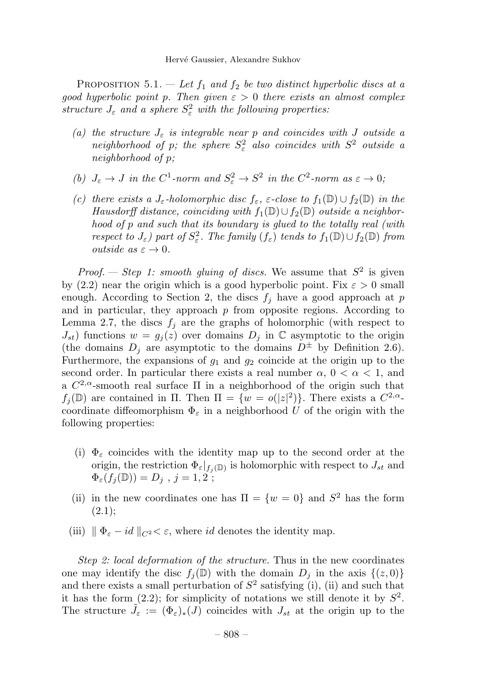PROPOSITION 5.1. — Let  $f_1$  and  $f_2$  be two distinct hyperbolic discs at a good hyperbolic point p. Then given  $\varepsilon > 0$  there exists an almost complex structure  $J_{\varepsilon}$  and a sphere  $S_{\varepsilon}^2$  with the following properties:

- (a) the structure  $J_{\varepsilon}$  is integrable near p and coincides with J outside a neighborhood of p; the sphere  $S^2_{\varepsilon}$  also coincides with  $S^2$  outside a neighborhood of p;
- (b)  $J_{\varepsilon} \to J$  in the  $C^1$ -norm and  $S_{\varepsilon}^2 \to S^2$  in the  $C^2$ -norm as  $\varepsilon \to 0$ ;
- (c) there exists a J<sub>ε</sub>-holomorphic disc  $f_{\varepsilon}$ ,  $\varepsilon$ -close to  $f_1(\mathbb{D}) \cup f_2(\mathbb{D})$  in the Hausdorff distance, coinciding with  $f_1(\mathbb{D}) \cup f_2(\mathbb{D})$  outside a neighborhood of p and such that its boundary is glued to the totally real (with respect to  $J_{\varepsilon}$ ) part of  $S_{\varepsilon}^2$ . The family  $(f_{\varepsilon})$  tends to  $f_1(\mathbb{D}) \cup f_2(\mathbb{D})$  from outside as  $\varepsilon \to 0$ .

*Proof.* — Step 1: smooth gluing of discs. We assume that  $S^2$  is given by (2.2) near the origin which is a good hyperbolic point. Fix  $\varepsilon > 0$  small enough. According to Section 2, the discs  $f_i$  have a good approach at p and in particular, they approach  $p$  from opposite regions. According to Lemma 2.7, the discs  $f_i$  are the graphs of holomorphic (with respect to  $J_{st}$ ) functions  $w = g_i(z)$  over domains  $D_i$  in  $\mathbb C$  asymptotic to the origin (the domains  $D_i$  are asymptotic to the domains  $D^{\pm}$  by Definition 2.6). Furthermore, the expansions of  $g_1$  and  $g_2$  coincide at the origin up to the second order. In particular there exists a real number  $\alpha$ ,  $0 < \alpha < 1$ , and a  $C^{2,\alpha}$ -smooth real surface  $\Pi$  in a neighborhood of the origin such that  $f_j(\mathbb{D})$  are contained in  $\Pi$ . Then  $\Pi = \{w = o(|z|^2)\}\.$  There exists a  $C^{2,\alpha}$ coordinate diffeomorphism  $\Phi_{\varepsilon}$  in a neighborhood U of the origin with the following properties:

- (i)  $\Phi_{\varepsilon}$  coincides with the identity map up to the second order at the origin, the restriction  $\Phi_{\varepsilon}|_{f_i(\mathbb{D})}$  is holomorphic with respect to  $J_{st}$  and  $\Phi_{\varepsilon}(f_j(\mathbb{D}))=D_j$ ,  $j=1,2$ ;
- (ii) in the new coordinates one has  $\Pi = \{w = 0\}$  and  $S^2$  has the form  $(2.1);$
- (iii)  $\|\Phi_{\varepsilon} id\|_{C^2} < \varepsilon$ , where id denotes the identity map.

Step 2: local deformation of the structure. Thus in the new coordinates one may identify the disc  $f_j(\mathbb{D})$  with the domain  $D_j$  in the axis  $\{(z, 0)\}$ and there exists a small perturbation of  $S<sup>2</sup>$  satisfying (i), (ii) and such that it has the form  $(2.2)$ ; for simplicity of notations we still denote it by  $S^2$ . The structure  $\tilde{J}_{\varepsilon} := (\Phi_{\varepsilon})_*(J)$  coincides with  $J_{st}$  at the origin up to the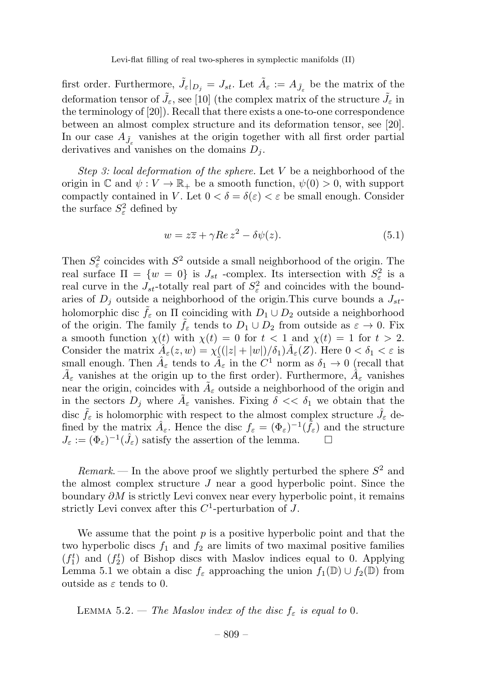first order. Furthermore,  $\tilde{J}_{\varepsilon}|_{D_j} = J_{st}$ . Let  $\tilde{A}_{\varepsilon} := A_{\tilde{J}_{\varepsilon}}$  be the matrix of the deformation tensor of  $\tilde{J}_\varepsilon$ , see [10] (the complex matrix of the structure  $\tilde{J}_\varepsilon$  in the terminology of [20]). Recall that there exists a one-to-one correspondence between an almost complex structure and its deformation tensor, see [20]. In our case  $A_{\tilde{J}_{\varepsilon}}$  vanishes at the origin together with all first order partial derivatives and vanishes on the domains  $D_i$ .

Step 3: local deformation of the sphere. Let  $V$  be a neighborhood of the origin in C and  $\psi: V \to \mathbb{R}_+$  be a smooth function,  $\psi(0) > 0$ , with support compactly contained in V. Let  $0 < \delta = \delta(\varepsilon) < \varepsilon$  be small enough. Consider the surface  $S^2_{\varepsilon}$  defined by

$$
w = z\overline{z} + \gamma Re z^2 - \delta \psi(z). \tag{5.1}
$$

Then  $S^2_{\varepsilon}$  coincides with  $S^2$  outside a small neighborhood of the origin. The real surface  $\Pi = \{w = 0\}$  is  $J_{st}$  -complex. Its intersection with  $S_{\varepsilon}^2$  is a real curve in the  $J_{st}$ -totally real part of  $S_{\varepsilon}^2$  and coincides with the boundaries of  $D_j$  outside a neighborhood of the origin. This curve bounds a  $J_{st}$ holomorphic disc  $\tilde{f}_{\varepsilon}$  on  $\Pi$  coinciding with  $D_1 \cup D_2$  outside a neighborhood of the origin. The family  $f_{\varepsilon}$  tends to  $D_1 \cup D_2$  from outside as  $\varepsilon \to 0$ . Fix a smooth function  $\chi(t)$  with  $\chi(t)= 0$  for  $t < 1$  and  $\chi(t) = 1$  for  $t > 2$ . Consider the matrix  $A_{\varepsilon}(z,w) = \chi((|z|+|w|)/\delta_1)A_{\varepsilon}(Z)$ . Here  $0 < \delta_1 < \varepsilon$  is small enough. Then  $A_{\varepsilon}$  tends to  $\tilde{A}_{\varepsilon}$  in the  $C^1$  norm as  $\delta_1 \to 0$  (recall that  $\tilde{A}_{\varepsilon}$  vanishes at the origin up to the first order). Furthermore,  $\hat{A}_{\varepsilon}$  vanishes near the origin, coincides with  $A_{\varepsilon}$  outside a neighborhood of the origin and in the sectors  $D_j$  where  $\tilde{A}_{\varepsilon}$  vanishes. Fixing  $\delta \ll \delta_1$  we obtain that the disc  $\tilde{f}_{\varepsilon}$  is holomorphic with respect to the almost complex structure  $\hat{J}_{\varepsilon}$  defined by the matrix  $\hat{A}_{\varepsilon}$ . Hence the disc  $f_{\varepsilon} = (\Phi_{\varepsilon})^{-1}(\tilde{f}_{\varepsilon})$  and the structure  $J_{\varepsilon} := (\Phi_{\varepsilon})^{-1}(\hat{J}_{\varepsilon})$  satisfy the assertion of the lemma.

 $Remark.$  — In the above proof we slightly perturbed the sphere  $S^2$  and the almost complex structure  $J$  near a good hyperbolic point. Since the boundary  $\partial M$  is strictly Levi convex near every hyperbolic point, it remains strictly Levi convex after this  $C^1$ -perturbation of J.

We assume that the point  $p$  is a positive hyperbolic point and that the two hyperbolic discs  $f_1$  and  $f_2$  are limits of two maximal positive families  $(f_1^t)$  and  $(f_2^t)$  of Bishop discs with Maslov indices equal to 0. Applying Lemma 5.1 we obtain a disc  $f_{\varepsilon}$  approaching the union  $f_1(\mathbb{D}) \cup f_2(\mathbb{D})$  from outside as  $\varepsilon$  tends to 0.

LEMMA 5.2. — The Maslov index of the disc  $f_{\varepsilon}$  is equal to 0.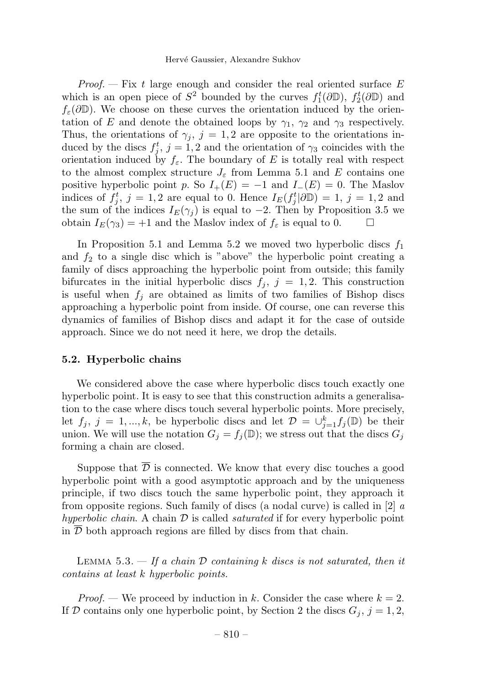*Proof.*  $-$  Fix t large enough and consider the real oriented surface E which is an open piece of  $S^2$  bounded by the curves  $f_1^t(\partial \mathbb{D})$ ,  $f_2^t(\partial \mathbb{D})$  and  $f_{\varepsilon}(\partial \mathbb{D})$ . We choose on these curves the orientation induced by the orientation of E and denote the obtained loops by  $\gamma_1$ ,  $\gamma_2$  and  $\gamma_3$  respectively. Thus, the orientations of  $\gamma_i$ ,  $j = 1, 2$  are opposite to the orientations induced by the discs  $f_j^t$ ,  $j = 1, 2$  and the orientation of  $\gamma_3$  coincides with the orientation induced by  $f_{\varepsilon}$ . The boundary of E is totally real with respect to the almost complex structure  $J_{\varepsilon}$  from Lemma 5.1 and E contains one positive hyperbolic point p. So  $I_{+}(E) = -1$  and  $I_{-}(E) = 0$ . The Maslov indices of  $f_j^t$ ,  $j = 1, 2$  are equal to 0. Hence  $I_E(f_j^t | \partial \mathbb{D}) = 1$ ,  $j = 1, 2$  and the sum of the indices  $I_E(\gamma_j)$  is equal to −2. Then by Proposition 3.5 we obtain  $I_E(\gamma_3) = +1$  and the Maslov index of  $f_{\varepsilon}$  is equal to 0.  $\Box$ obtain  $I_E(\gamma_3)=+1$  and the Maslov index of  $f_{\varepsilon}$  is equal to 0.

In Proposition 5.1 and Lemma 5.2 we moved two hyperbolic discs  $f_1$ and  $f_2$  to a single disc which is "above" the hyperbolic point creating a family of discs approaching the hyperbolic point from outside; this family bifurcates in the initial hyperbolic discs  $f_j$ ,  $j = 1, 2$ . This construction is useful when  $f_i$  are obtained as limits of two families of Bishop discs approaching a hyperbolic point from inside. Of course, one can reverse this dynamics of families of Bishop discs and adapt it for the case of outside approach. Since we do not need it here, we drop the details.

#### 5.2. Hyperbolic chains

We considered above the case where hyperbolic discs touch exactly one hyperbolic point. It is easy to see that this construction admits a generalisation to the case where discs touch several hyperbolic points. More precisely, let  $f_j$ ,  $j = 1, ..., k$ , be hyperbolic discs and let  $\mathcal{D} = \bigcup_{j=1}^k f_j(\mathbb{D})$  be their union. We will use the notation  $G_j = f_j(\mathbb{D})$ ; we stress out that the discs  $G_j$ forming a chain are closed.

Suppose that  $\overline{\mathcal{D}}$  is connected. We know that every disc touches a good hyperbolic point with a good asymptotic approach and by the uniqueness principle, if two discs touch the same hyperbolic point, they approach it from opposite regions. Such family of discs (a nodal curve) is called in  $[2]$  a hyperbolic chain. A chain  $\mathcal D$  is called *saturated* if for every hyperbolic point in  $D$  both approach regions are filled by discs from that chain.

LEMMA 5.3.  $-$  If a chain  $D$  containing k discs is not saturated, then it contains at least k hyperbolic points.

*Proof.* — We proceed by induction in k. Consider the case where  $k = 2$ . If D contains only one hyperbolic point, by Section 2 the discs  $G_j$ ,  $j = 1, 2$ ,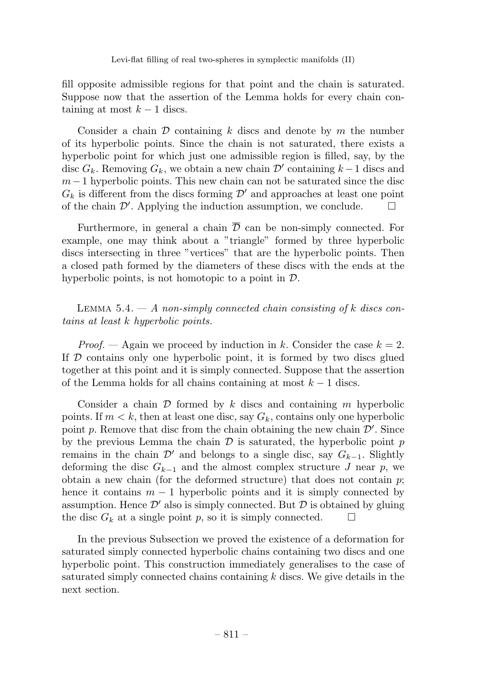fill opposite admissible regions for that point and the chain is saturated. Suppose now that the assertion of the Lemma holds for every chain containing at most  $k - 1$  discs.

Consider a chain  $\mathcal D$  containing k discs and denote by m the number of its hyperbolic points. Since the chain is not saturated, there exists a hyperbolic point for which just one admissible region is filled, say, by the disc  $G_k$ . Removing  $G_k$ , we obtain a new chain  $\mathcal{D}'$  containing  $k-1$  discs and  $m-1$  hyperbolic points. This new chain can not be saturated since the disc  $G_k$  is different from the discs forming  $\mathcal{D}'$  and approaches at least one point of the chain  $\mathcal{D}'$ . Applying the induction assumption, we conclude. of the chain  $\mathcal{D}'$ . Applying the induction assumption, we conclude.  $\Box$ 

Furthermore, in general a chain  $\overline{\mathcal{D}}$  can be non-simply connected. For example, one may think about a "triangle" formed by three hyperbolic discs intersecting in three "vertices" that are the hyperbolic points. Then a closed path formed by the diameters of these discs with the ends at the hyperbolic points, is not homotopic to a point in  $\mathcal{D}$ .

LEMMA  $5.4. - A$  non-simply connected chain consisting of k discs contains at least k hyperbolic points.

*Proof.* — Again we proceed by induction in k. Consider the case  $k = 2$ . If  $\mathcal D$  contains only one hyperbolic point, it is formed by two discs glued together at this point and it is simply connected. Suppose that the assertion of the Lemma holds for all chains containing at most  $k - 1$  discs.

Consider a chain  $\mathcal D$  formed by k discs and containing m hyperbolic points. If  $m < k$ , then at least one disc, say  $G_k$ , contains only one hyperbolic point  $p$ . Remove that disc from the chain obtaining the new chain  $\mathcal{D}'$ . Since by the previous Lemma the chain  $\mathcal D$  is saturated, the hyperbolic point p remains in the chain  $\mathcal{D}'$  and belongs to a single disc, say  $G_{k-1}$ . Slightly deforming the disc  $G_{k-1}$  and the almost complex structure J near p, we obtain a new chain (for the deformed structure) that does not contain  $p$ ; hence it contains  $m - 1$  hyperbolic points and it is simply connected by assumption. Hence  $\mathcal{D}'$  also is simply connected. But  $\mathcal D$  is obtained by gluing the disc  $G_k$  at a single point  $p$ , so it is simply connected. the disc  $G_k$  at a single point p, so it is simply connected.

In the previous Subsection we proved the existence of a deformation for saturated simply connected hyperbolic chains containing two discs and one hyperbolic point. This construction immediately generalises to the case of saturated simply connected chains containing k discs. We give details in the next section.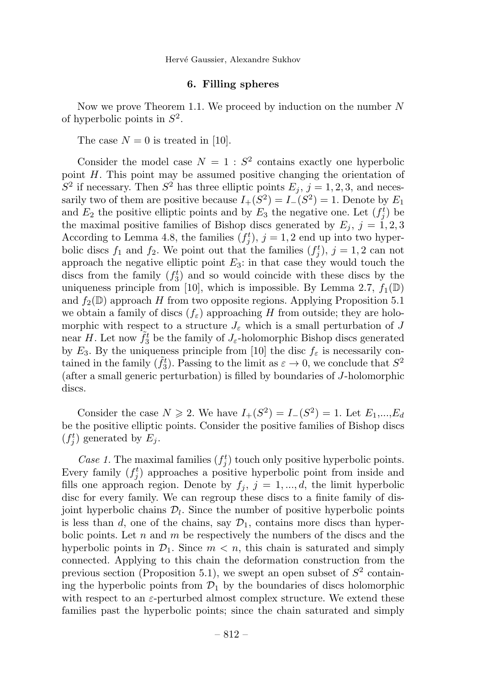### 6. Filling spheres

Now we prove Theorem 1.1. We proceed by induction on the number  $N$ of hyperbolic points in  $S^2$ .

The case  $N = 0$  is treated in [10].

Consider the model case  $N = 1 : S^2$  contains exactly one hyperbolic point H. This point may be assumed positive changing the orientation of  $S^2$  if necessary. Then  $S^2$  has three elliptic points  $E_j$ ,  $j = 1, 2, 3$ , and necessarily two of them are positive because  $I_+(S^2) = I_-(S^2) = 1$ . Denote by  $E_1$ and  $E_2$  the positive elliptic points and by  $E_3$  the negative one. Let  $(f_j^t)$  be the maximal positive families of Bishop discs generated by  $E_j$ ,  $j = 1, 2, 3$ According to Lemma 4.8, the families  $(f_j^t)$ ,  $j = 1, 2$  end up into two hyperbolic discs  $f_1$  and  $f_2$ . We point out that the families  $(f_j^t), j = 1, 2$  can not approach the negative elliptic point  $E_3$ : in that case they would touch the discs from the family  $(f_3^t)$  and so would coincide with these discs by the uniqueness principle from [10], which is impossible. By Lemma 2.7,  $f_1(\mathbb{D})$ and  $f_2(\mathbb{D})$  approach H from two opposite regions. Applying Proposition 5.1 we obtain a family of discs  $(f_{\varepsilon})$  approaching H from outside; they are holomorphic with respect to a structure  $J_{\varepsilon}$  which is a small perturbation of J near H. Let now  $\tilde{f}_3^t$  be the family of  $J_\varepsilon$ -holomorphic Bishop discs generated by E<sub>3</sub>. By the uniqueness principle from [10] the disc  $f_{\varepsilon}$  is necessarily contained in the family  $(\tilde{f}_3^t)$ . Passing to the limit as  $\varepsilon \to 0$ , we conclude that  $S^2$ (after a small generic perturbation) is filled by boundaries of J-holomorphic discs.

Consider the case  $N \ge 2$ . We have  $I_+(S^2) = I_-(S^2) = 1$ . Let  $E_1,...,E_d$ be the positive elliptic points. Consider the positive families of Bishop discs  $(f_j^t)$  generated by  $E_j$ .

Case 1. The maximal families  $(f_j^t)$  touch only positive hyperbolic points. Every family  $(f_j^t)$  approaches a positive hyperbolic point from inside and fills one approach region. Denote by  $f_i, j = 1, ..., d$ , the limit hyperbolic disc for every family. We can regroup these discs to a finite family of disjoint hyperbolic chains  $\mathcal{D}_l$ . Since the number of positive hyperbolic points is less than d, one of the chains, say  $\mathcal{D}_1$ , contains more discs than hyperbolic points. Let n and m be respectively the numbers of the discs and the hyperbolic points in  $\mathcal{D}_1$ . Since  $m < n$ , this chain is saturated and simply connected. Applying to this chain the deformation construction from the previous section (Proposition 5.1), we swept an open subset of  $S^2$  containing the hyperbolic points from  $\mathcal{D}_1$  by the boundaries of discs holomorphic with respect to an  $\varepsilon$ -perturbed almost complex structure. We extend these families past the hyperbolic points; since the chain saturated and simply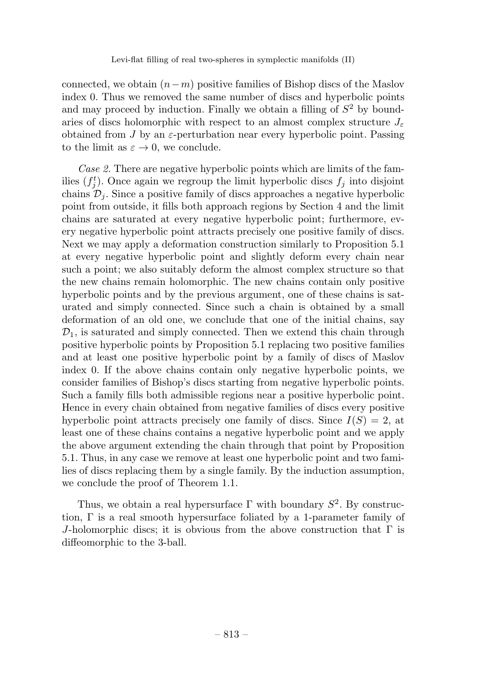connected, we obtain  $(n-m)$  positive families of Bishop discs of the Maslov index 0. Thus we removed the same number of discs and hyperbolic points and may proceed by induction. Finally we obtain a filling of  $S<sup>2</sup>$  by boundaries of discs holomorphic with respect to an almost complex structure  $J_{\varepsilon}$ obtained from J by an  $\varepsilon$ -perturbation near every hyperbolic point. Passing to the limit as  $\varepsilon \to 0$ , we conclude.

Case 2. There are negative hyperbolic points which are limits of the families  $(f_j^t)$ . Once again we regroup the limit hyperbolic discs  $f_j$  into disjoint chains  $\mathcal{D}_i$ . Since a positive family of discs approaches a negative hyperbolic point from outside, it fills both approach regions by Section 4 and the limit chains are saturated at every negative hyperbolic point; furthermore, every negative hyperbolic point attracts precisely one positive family of discs. Next we may apply a deformation construction similarly to Proposition 5.1 at every negative hyperbolic point and slightly deform every chain near such a point; we also suitably deform the almost complex structure so that the new chains remain holomorphic. The new chains contain only positive hyperbolic points and by the previous argument, one of these chains is saturated and simply connected. Since such a chain is obtained by a small deformation of an old one, we conclude that one of the initial chains, say  $\mathcal{D}_1$ , is saturated and simply connected. Then we extend this chain through positive hyperbolic points by Proposition 5.1 replacing two positive families and at least one positive hyperbolic point by a family of discs of Maslov index 0. If the above chains contain only negative hyperbolic points, we consider families of Bishop's discs starting from negative hyperbolic points. Such a family fills both admissible regions near a positive hyperbolic point. Hence in every chain obtained from negative families of discs every positive hyperbolic point attracts precisely one family of discs. Since  $I(S) = 2$ , at least one of these chains contains a negative hyperbolic point and we apply the above argument extending the chain through that point by Proposition 5.1. Thus, in any case we remove at least one hyperbolic point and two families of discs replacing them by a single family. By the induction assumption, we conclude the proof of Theorem 1.1.

Thus, we obtain a real hypersurface  $\Gamma$  with boundary  $S^2$ . By construction,  $\Gamma$  is a real smooth hypersurface foliated by a 1-parameter family of J-holomorphic discs; it is obvious from the above construction that  $\Gamma$  is diffeomorphic to the 3-ball.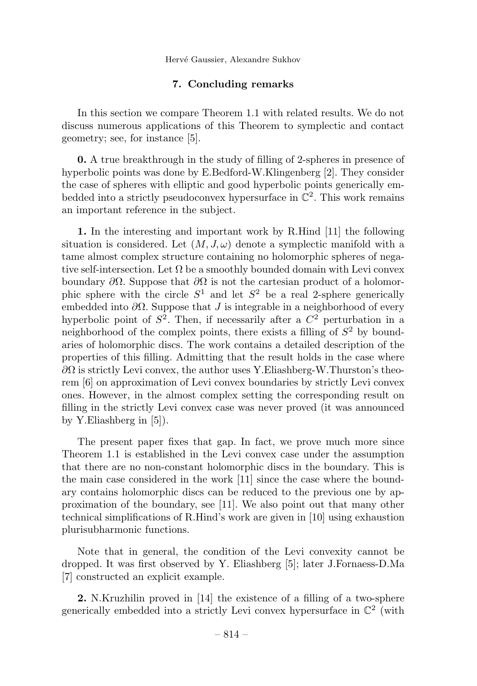# 7. Concluding remarks

In this section we compare Theorem 1.1 with related results. We do not discuss numerous applications of this Theorem to symplectic and contact geometry; see, for instance [5].

0. A true breakthrough in the study of filling of 2-spheres in presence of hyperbolic points was done by E.Bedford-W.Klingenberg [2]. They consider the case of spheres with elliptic and good hyperbolic points generically embedded into a strictly pseudoconvex hypersurface in  $\mathbb{C}^2$ . This work remains an important reference in the subject.

1. In the interesting and important work by R.Hind [11] the following situation is considered. Let  $(M, J, \omega)$  denote a symplectic manifold with a tame almost complex structure containing no holomorphic spheres of negative self-intersection. Let  $\Omega$  be a smoothly bounded domain with Levi convex boundary  $\partial\Omega$ . Suppose that  $\partial\Omega$  is not the cartesian product of a holomorphic sphere with the circle  $S^1$  and let  $S^2$  be a real 2-sphere generically embedded into  $\partial\Omega$ . Suppose that J is integrable in a neighborhood of every hyperbolic point of  $S^2$ . Then, if necessarily after a  $C^2$  perturbation in a neighborhood of the complex points, there exists a filling of  $S<sup>2</sup>$  by boundaries of holomorphic discs. The work contains a detailed description of the properties of this filling. Admitting that the result holds in the case where  $\partial\Omega$  is strictly Levi convex, the author uses Y.Eliashberg-W.Thurston's theorem [6] on approximation of Levi convex boundaries by strictly Levi convex ones. However, in the almost complex setting the corresponding result on filling in the strictly Levi convex case was never proved (it was announced by Y.Eliashberg in [5]).

The present paper fixes that gap. In fact, we prove much more since Theorem 1.1 is established in the Levi convex case under the assumption that there are no non-constant holomorphic discs in the boundary. This is the main case considered in the work [11] since the case where the boundary contains holomorphic discs can be reduced to the previous one by approximation of the boundary, see [11]. We also point out that many other technical simplifications of R.Hind's work are given in [10] using exhaustion plurisubharmonic functions.

Note that in general, the condition of the Levi convexity cannot be dropped. It was first observed by Y. Eliashberg [5]; later J.Fornaess-D.Ma [7] constructed an explicit example.

2. N.Kruzhilin proved in [14] the existence of a filling of a two-sphere generically embedded into a strictly Levi convex hypersurface in  $\mathbb{C}^2$  (with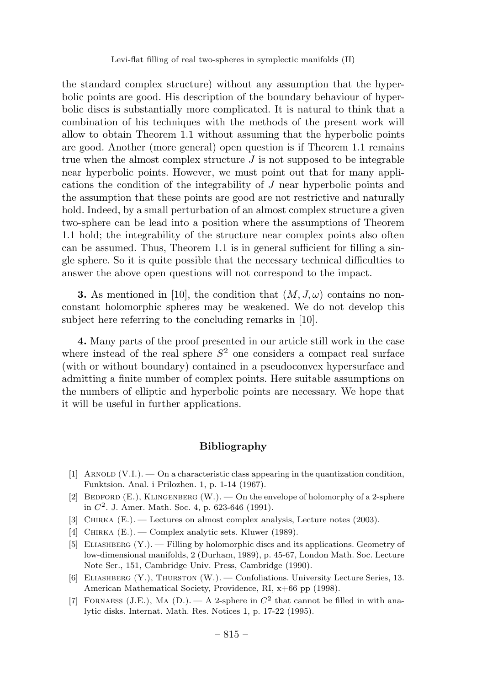the standard complex structure) without any assumption that the hyperbolic points are good. His description of the boundary behaviour of hyperbolic discs is substantially more complicated. It is natural to think that a combination of his techniques with the methods of the present work will allow to obtain Theorem 1.1 without assuming that the hyperbolic points are good. Another (more general) open question is if Theorem 1.1 remains true when the almost complex structure  $J$  is not supposed to be integrable near hyperbolic points. However, we must point out that for many applications the condition of the integrability of J near hyperbolic points and the assumption that these points are good are not restrictive and naturally hold. Indeed, by a small perturbation of an almost complex structure a given two-sphere can be lead into a position where the assumptions of Theorem 1.1 hold; the integrability of the structure near complex points also often can be assumed. Thus, Theorem 1.1 is in general sufficient for filling a single sphere. So it is quite possible that the necessary technical difficulties to answer the above open questions will not correspond to the impact.

**3.** As mentioned in [10], the condition that  $(M, J, \omega)$  contains no nonconstant holomorphic spheres may be weakened. We do not develop this subject here referring to the concluding remarks in [10].

4. Many parts of the proof presented in our article still work in the case where instead of the real sphere  $S<sup>2</sup>$  one considers a compact real surface (with or without boundary) contained in a pseudoconvex hypersurface and admitting a finite number of complex points. Here suitable assumptions on the numbers of elliptic and hyperbolic points are necessary. We hope that it will be useful in further applications.

# Bibliography

- [1] ARNOLD  $(V.I.)$  On a characteristic class appearing in the quantization condition, Funktsion. Anal. i Prilozhen. 1, p. 1-14 (1967).
- [2] BEDFORD  $(E.)$ , KLINGENBERG  $(W.)$ .  $\longrightarrow$  On the envelope of holomorphy of a 2-sphere in  $C^2$ . J. Amer. Math. Soc. 4, p. 623-646 (1991).
- [3] Chirka (E.). Lectures on almost complex analysis, Lecture notes (2003).
- [4] CHIRKA (E.). Complex analytic sets. Kluwer (1989).
- [5] Eliashberg (Y.). Filling by holomorphic discs and its applications. Geometry of low-dimensional manifolds, 2 (Durham, 1989), p. 45-67, London Math. Soc. Lecture Note Ser., 151, Cambridge Univ. Press, Cambridge (1990).
- [6] ELIASHBERG (Y.), THURSTON (W.). Confoliations. University Lecture Series, 13. American Mathematical Society, Providence, RI, x+66 pp (1998).
- [7] FORNAESS (J.E.), MA (D.). A 2-sphere in  $C^2$  that cannot be filled in with analytic disks. Internat. Math. Res. Notices 1, p. 17-22 (1995).